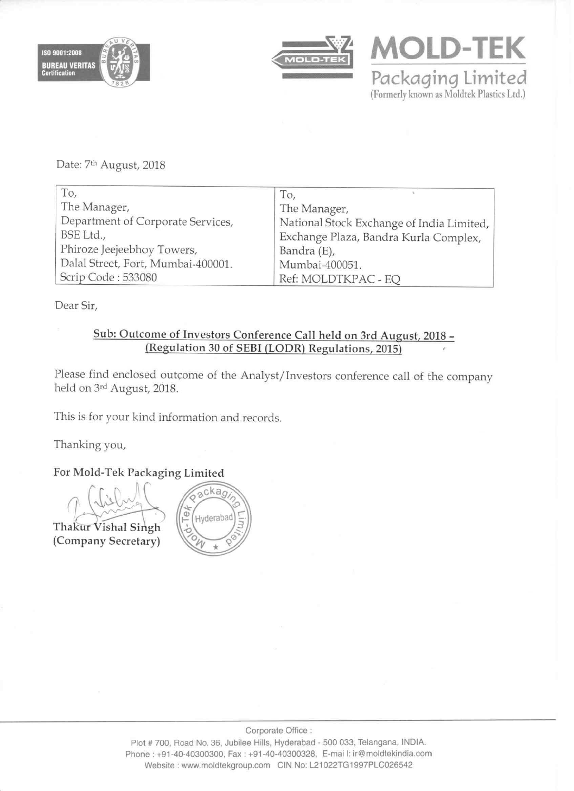



**MOLD-TEK** Packaging Limited (Formerly known as Moldtek Plastics Ltd.)

Date: 7<sup>th</sup> August, 2018

| To,                                | To,                                       |
|------------------------------------|-------------------------------------------|
| The Manager,                       | The Manager,                              |
| Department of Corporate Services,  | National Stock Exchange of India Limited, |
| BSE Ltd.,                          | Exchange Plaza, Bandra Kurla Complex,     |
| Phiroze Jeejeebhoy Towers,         | Bandra (E),                               |
| Dalal Street, Fort, Mumbai-400001. | Mumbai-400051.                            |
| Scrip Code: 533080                 | Ref: MOLDTKPAC - EO                       |

Dear Sir,

# Sub: Outcome of Investors Conference Call held on 3rd August, 2018 -(Regulation <sup>30</sup> of SEBI (LODR) Regulations, 2015)

Please find enclosed outcome of the Analyst/Investors conference call of the company held on 3rd August, 2018.

This is for your kind information and records.

Thanking you,

For Mold—Tek Packaging Limited

 $\sim$ Thakur Vishal Singh (Company Secretary)

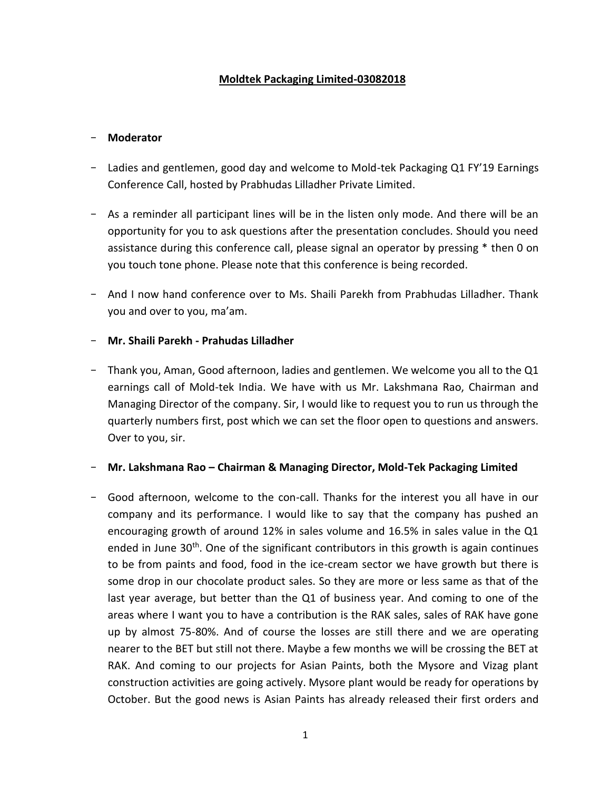# **Moldtek Packaging Limited-03082018**

### - **Moderator**

- Ladies and gentlemen, good day and welcome to Mold-tek Packaging Q1 FY'19 Earnings Conference Call, hosted by Prabhudas Lilladher Private Limited.
- As a reminder all participant lines will be in the listen only mode. And there will be an opportunity for you to ask questions after the presentation concludes. Should you need assistance during this conference call, please signal an operator by pressing \* then 0 on you touch tone phone. Please note that this conference is being recorded.
- And I now hand conference over to Ms. Shaili Parekh from Prabhudas Lilladher. Thank you and over to you, ma'am.

### - **Mr. Shaili Parekh - Prahudas Lilladher**

- Thank you, Aman, Good afternoon, ladies and gentlemen. We welcome you all to the Q1 earnings call of Mold-tek India. We have with us Mr. Lakshmana Rao, Chairman and Managing Director of the company. Sir, I would like to request you to run us through the quarterly numbers first, post which we can set the floor open to questions and answers. Over to you, sir.

### - **Mr. Lakshmana Rao – Chairman & Managing Director, Mold-Tek Packaging Limited**

- Good afternoon, welcome to the con-call. Thanks for the interest you all have in our company and its performance. I would like to say that the company has pushed an encouraging growth of around 12% in sales volume and 16.5% in sales value in the Q1 ended in June  $30<sup>th</sup>$ . One of the significant contributors in this growth is again continues to be from paints and food, food in the ice-cream sector we have growth but there is some drop in our chocolate product sales. So they are more or less same as that of the last year average, but better than the Q1 of business year. And coming to one of the areas where I want you to have a contribution is the RAK sales, sales of RAK have gone up by almost 75-80%. And of course the losses are still there and we are operating nearer to the BET but still not there. Maybe a few months we will be crossing the BET at RAK. And coming to our projects for Asian Paints, both the Mysore and Vizag plant construction activities are going actively. Mysore plant would be ready for operations by October. But the good news is Asian Paints has already released their first orders and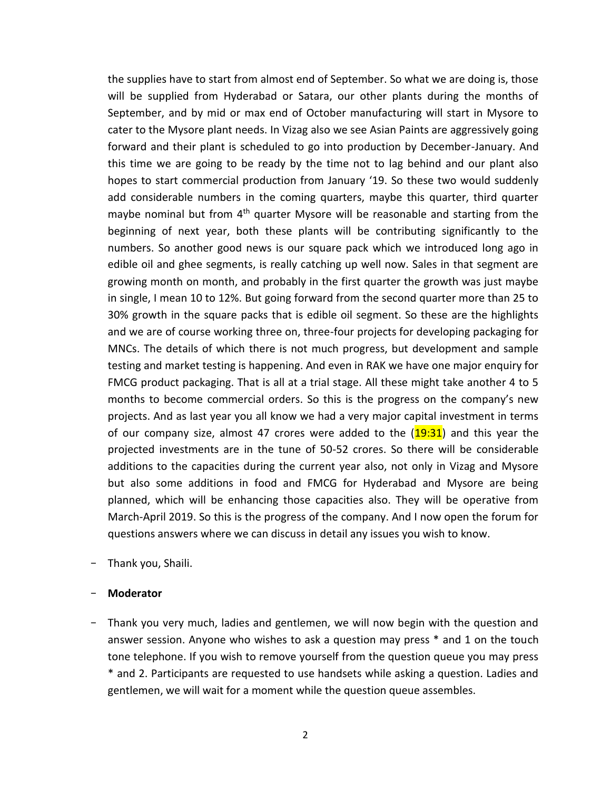the supplies have to start from almost end of September. So what we are doing is, those will be supplied from Hyderabad or Satara, our other plants during the months of September, and by mid or max end of October manufacturing will start in Mysore to cater to the Mysore plant needs. In Vizag also we see Asian Paints are aggressively going forward and their plant is scheduled to go into production by December-January. And this time we are going to be ready by the time not to lag behind and our plant also hopes to start commercial production from January '19. So these two would suddenly add considerable numbers in the coming quarters, maybe this quarter, third quarter maybe nominal but from  $4<sup>th</sup>$  quarter Mysore will be reasonable and starting from the beginning of next year, both these plants will be contributing significantly to the numbers. So another good news is our square pack which we introduced long ago in edible oil and ghee segments, is really catching up well now. Sales in that segment are growing month on month, and probably in the first quarter the growth was just maybe in single, I mean 10 to 12%. But going forward from the second quarter more than 25 to 30% growth in the square packs that is edible oil segment. So these are the highlights and we are of course working three on, three-four projects for developing packaging for MNCs. The details of which there is not much progress, but development and sample testing and market testing is happening. And even in RAK we have one major enquiry for FMCG product packaging. That is all at a trial stage. All these might take another 4 to 5 months to become commercial orders. So this is the progress on the company's new projects. And as last year you all know we had a very major capital investment in terms of our company size, almost 47 crores were added to the  $(19:31)$  and this year the projected investments are in the tune of 50-52 crores. So there will be considerable additions to the capacities during the current year also, not only in Vizag and Mysore but also some additions in food and FMCG for Hyderabad and Mysore are being planned, which will be enhancing those capacities also. They will be operative from March-April 2019. So this is the progress of the company. And I now open the forum for questions answers where we can discuss in detail any issues you wish to know.

- Thank you, Shaili.

#### - **Moderator**

- Thank you very much, ladies and gentlemen, we will now begin with the question and answer session. Anyone who wishes to ask a question may press \* and 1 on the touch tone telephone. If you wish to remove yourself from the question queue you may press \* and 2. Participants are requested to use handsets while asking a question. Ladies and gentlemen, we will wait for a moment while the question queue assembles.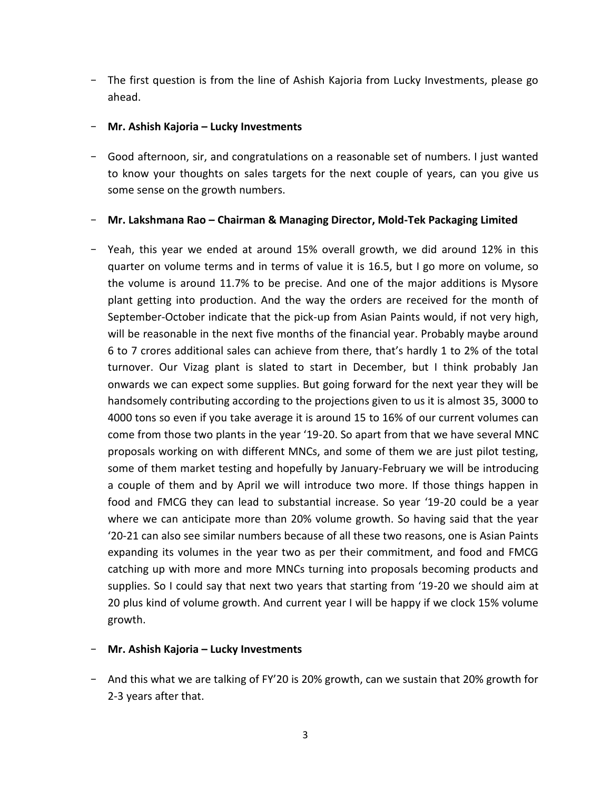- The first question is from the line of Ashish Kajoria from Lucky Investments, please go ahead.

### - **Mr. Ashish Kajoria – Lucky Investments**

- Good afternoon, sir, and congratulations on a reasonable set of numbers. I just wanted to know your thoughts on sales targets for the next couple of years, can you give us some sense on the growth numbers.

### - **Mr. Lakshmana Rao – Chairman & Managing Director, Mold-Tek Packaging Limited**

- Yeah, this year we ended at around 15% overall growth, we did around 12% in this quarter on volume terms and in terms of value it is 16.5, but I go more on volume, so the volume is around 11.7% to be precise. And one of the major additions is Mysore plant getting into production. And the way the orders are received for the month of September-October indicate that the pick-up from Asian Paints would, if not very high, will be reasonable in the next five months of the financial year. Probably maybe around 6 to 7 crores additional sales can achieve from there, that's hardly 1 to 2% of the total turnover. Our Vizag plant is slated to start in December, but I think probably Jan onwards we can expect some supplies. But going forward for the next year they will be handsomely contributing according to the projections given to us it is almost 35, 3000 to 4000 tons so even if you take average it is around 15 to 16% of our current volumes can come from those two plants in the year '19-20. So apart from that we have several MNC proposals working on with different MNCs, and some of them we are just pilot testing, some of them market testing and hopefully by January-February we will be introducing a couple of them and by April we will introduce two more. If those things happen in food and FMCG they can lead to substantial increase. So year '19-20 could be a year where we can anticipate more than 20% volume growth. So having said that the year '20-21 can also see similar numbers because of all these two reasons, one is Asian Paints expanding its volumes in the year two as per their commitment, and food and FMCG catching up with more and more MNCs turning into proposals becoming products and supplies. So I could say that next two years that starting from '19-20 we should aim at 20 plus kind of volume growth. And current year I will be happy if we clock 15% volume growth.

### - **Mr. Ashish Kajoria – Lucky Investments**

- And this what we are talking of FY'20 is 20% growth, can we sustain that 20% growth for 2-3 years after that.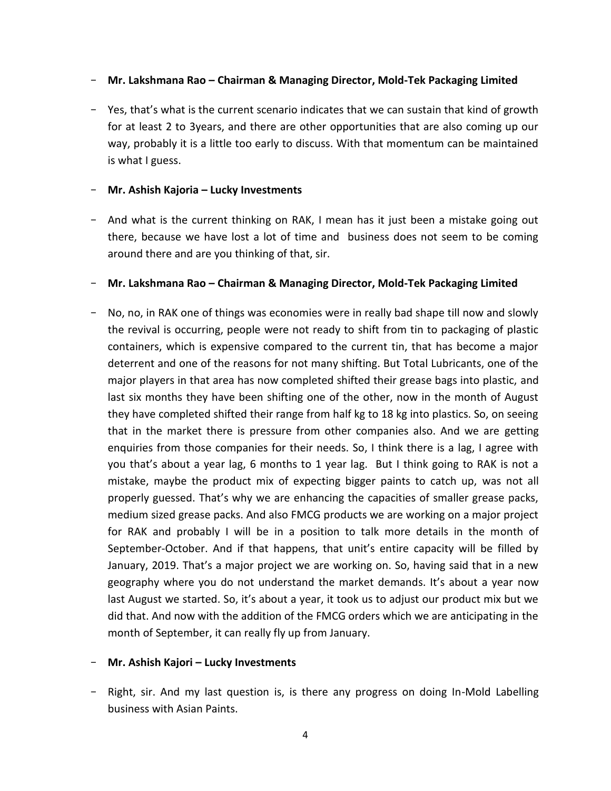## - **Mr. Lakshmana Rao – Chairman & Managing Director, Mold-Tek Packaging Limited**

- Yes, that's what is the current scenario indicates that we can sustain that kind of growth for at least 2 to 3years, and there are other opportunities that are also coming up our way, probably it is a little too early to discuss. With that momentum can be maintained is what I guess.

### - **Mr. Ashish Kajoria – Lucky Investments**

- And what is the current thinking on RAK, I mean has it just been a mistake going out there, because we have lost a lot of time and business does not seem to be coming around there and are you thinking of that, sir.

## - **Mr. Lakshmana Rao – Chairman & Managing Director, Mold-Tek Packaging Limited**

- No, no, in RAK one of things was economies were in really bad shape till now and slowly the revival is occurring, people were not ready to shift from tin to packaging of plastic containers, which is expensive compared to the current tin, that has become a major deterrent and one of the reasons for not many shifting. But Total Lubricants, one of the major players in that area has now completed shifted their grease bags into plastic, and last six months they have been shifting one of the other, now in the month of August they have completed shifted their range from half kg to 18 kg into plastics. So, on seeing that in the market there is pressure from other companies also. And we are getting enquiries from those companies for their needs. So, I think there is a lag, I agree with you that's about a year lag, 6 months to 1 year lag. But I think going to RAK is not a mistake, maybe the product mix of expecting bigger paints to catch up, was not all properly guessed. That's why we are enhancing the capacities of smaller grease packs, medium sized grease packs. And also FMCG products we are working on a major project for RAK and probably I will be in a position to talk more details in the month of September-October. And if that happens, that unit's entire capacity will be filled by January, 2019. That's a major project we are working on. So, having said that in a new geography where you do not understand the market demands. It's about a year now last August we started. So, it's about a year, it took us to adjust our product mix but we did that. And now with the addition of the FMCG orders which we are anticipating in the month of September, it can really fly up from January.

### - **Mr. Ashish Kajori – Lucky Investments**

- Right, sir. And my last question is, is there any progress on doing In-Mold Labelling business with Asian Paints.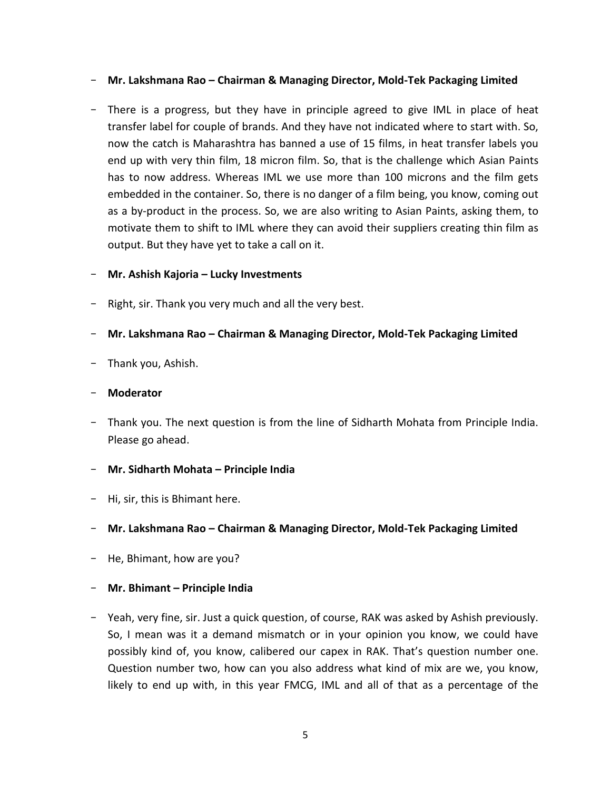### - **Mr. Lakshmana Rao – Chairman & Managing Director, Mold-Tek Packaging Limited**

- There is a progress, but they have in principle agreed to give IML in place of heat transfer label for couple of brands. And they have not indicated where to start with. So, now the catch is Maharashtra has banned a use of 15 films, in heat transfer labels you end up with very thin film, 18 micron film. So, that is the challenge which Asian Paints has to now address. Whereas IML we use more than 100 microns and the film gets embedded in the container. So, there is no danger of a film being, you know, coming out as a by-product in the process. So, we are also writing to Asian Paints, asking them, to motivate them to shift to IML where they can avoid their suppliers creating thin film as output. But they have yet to take a call on it.

## - **Mr. Ashish Kajoria – Lucky Investments**

- Right, sir. Thank you very much and all the very best.

## - **Mr. Lakshmana Rao – Chairman & Managing Director, Mold-Tek Packaging Limited**

- Thank you, Ashish.

### - **Moderator**

- Thank you. The next question is from the line of Sidharth Mohata from Principle India. Please go ahead.

# - **Mr. Sidharth Mohata – Principle India**

- Hi, sir, this is Bhimant here.

### - **Mr. Lakshmana Rao – Chairman & Managing Director, Mold-Tek Packaging Limited**

- He, Bhimant, how are you?

# - **Mr. Bhimant – Principle India**

- Yeah, very fine, sir. Just a quick question, of course, RAK was asked by Ashish previously. So, I mean was it a demand mismatch or in your opinion you know, we could have possibly kind of, you know, calibered our capex in RAK. That's question number one. Question number two, how can you also address what kind of mix are we, you know, likely to end up with, in this year FMCG, IML and all of that as a percentage of the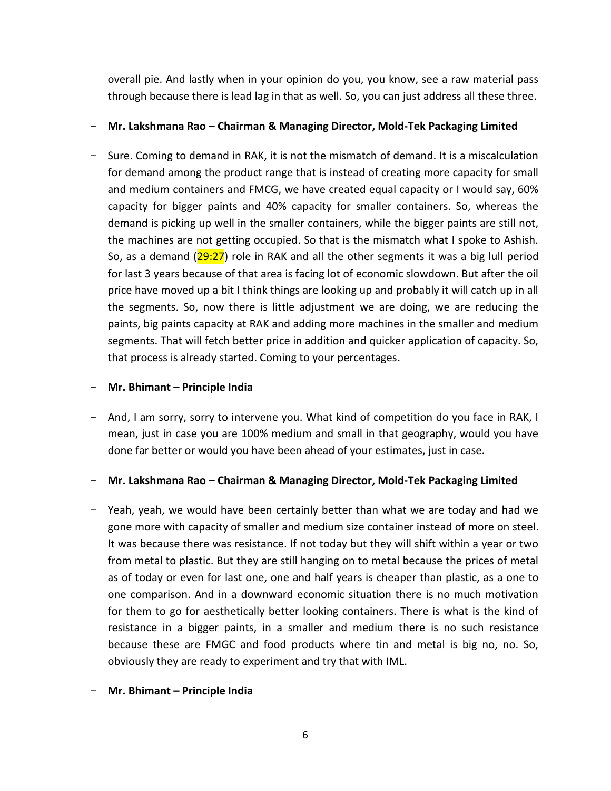overall pie. And lastly when in your opinion do you, you know, see a raw material pass through because there is lead lag in that as well. So, you can just address all these three.

## - **Mr. Lakshmana Rao – Chairman & Managing Director, Mold-Tek Packaging Limited**

- Sure. Coming to demand in RAK, it is not the mismatch of demand. It is a miscalculation for demand among the product range that is instead of creating more capacity for small and medium containers and FMCG, we have created equal capacity or I would say, 60% capacity for bigger paints and 40% capacity for smaller containers. So, whereas the demand is picking up well in the smaller containers, while the bigger paints are still not, the machines are not getting occupied. So that is the mismatch what I spoke to Ashish. So, as a demand  $(29:27)$  role in RAK and all the other segments it was a big lull period for last 3 years because of that area is facing lot of economic slowdown. But after the oil price have moved up a bit I think things are looking up and probably it will catch up in all the segments. So, now there is little adjustment we are doing, we are reducing the paints, big paints capacity at RAK and adding more machines in the smaller and medium segments. That will fetch better price in addition and quicker application of capacity. So, that process is already started. Coming to your percentages.

## - **Mr. Bhimant – Principle India**

- And, I am sorry, sorry to intervene you. What kind of competition do you face in RAK, I mean, just in case you are 100% medium and small in that geography, would you have done far better or would you have been ahead of your estimates, just in case.

- **Mr. Lakshmana Rao – Chairman & Managing Director, Mold-Tek Packaging Limited**

- Yeah, yeah, we would have been certainly better than what we are today and had we gone more with capacity of smaller and medium size container instead of more on steel. It was because there was resistance. If not today but they will shift within a year or two from metal to plastic. But they are still hanging on to metal because the prices of metal as of today or even for last one, one and half years is cheaper than plastic, as a one to one comparison. And in a downward economic situation there is no much motivation for them to go for aesthetically better looking containers. There is what is the kind of resistance in a bigger paints, in a smaller and medium there is no such resistance because these are FMGC and food products where tin and metal is big no, no. So, obviously they are ready to experiment and try that with IML.
- **Mr. Bhimant – Principle India**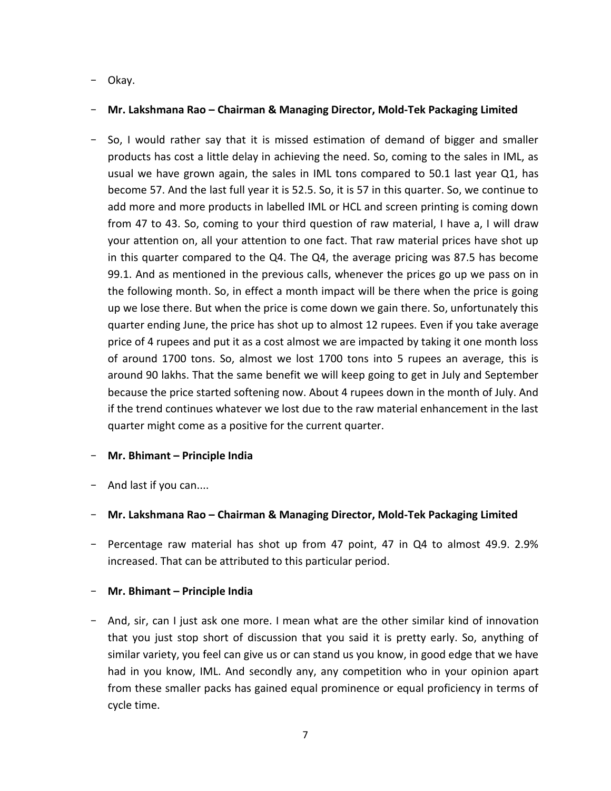## - Okay.

## - **Mr. Lakshmana Rao – Chairman & Managing Director, Mold-Tek Packaging Limited**

- So, I would rather say that it is missed estimation of demand of bigger and smaller products has cost a little delay in achieving the need. So, coming to the sales in IML, as usual we have grown again, the sales in IML tons compared to 50.1 last year Q1, has become 57. And the last full year it is 52.5. So, it is 57 in this quarter. So, we continue to add more and more products in labelled IML or HCL and screen printing is coming down from 47 to 43. So, coming to your third question of raw material, I have a, I will draw your attention on, all your attention to one fact. That raw material prices have shot up in this quarter compared to the Q4. The Q4, the average pricing was 87.5 has become 99.1. And as mentioned in the previous calls, whenever the prices go up we pass on in the following month. So, in effect a month impact will be there when the price is going up we lose there. But when the price is come down we gain there. So, unfortunately this quarter ending June, the price has shot up to almost 12 rupees. Even if you take average price of 4 rupees and put it as a cost almost we are impacted by taking it one month loss of around 1700 tons. So, almost we lost 1700 tons into 5 rupees an average, this is around 90 lakhs. That the same benefit we will keep going to get in July and September because the price started softening now. About 4 rupees down in the month of July. And if the trend continues whatever we lost due to the raw material enhancement in the last quarter might come as a positive for the current quarter.

### - **Mr. Bhimant – Principle India**

- And last if you can....

# - **Mr. Lakshmana Rao – Chairman & Managing Director, Mold-Tek Packaging Limited**

- Percentage raw material has shot up from 47 point, 47 in Q4 to almost 49.9. 2.9% increased. That can be attributed to this particular period.

### - **Mr. Bhimant – Principle India**

- And, sir, can I just ask one more. I mean what are the other similar kind of innovation that you just stop short of discussion that you said it is pretty early. So, anything of similar variety, you feel can give us or can stand us you know, in good edge that we have had in you know, IML. And secondly any, any competition who in your opinion apart from these smaller packs has gained equal prominence or equal proficiency in terms of cycle time.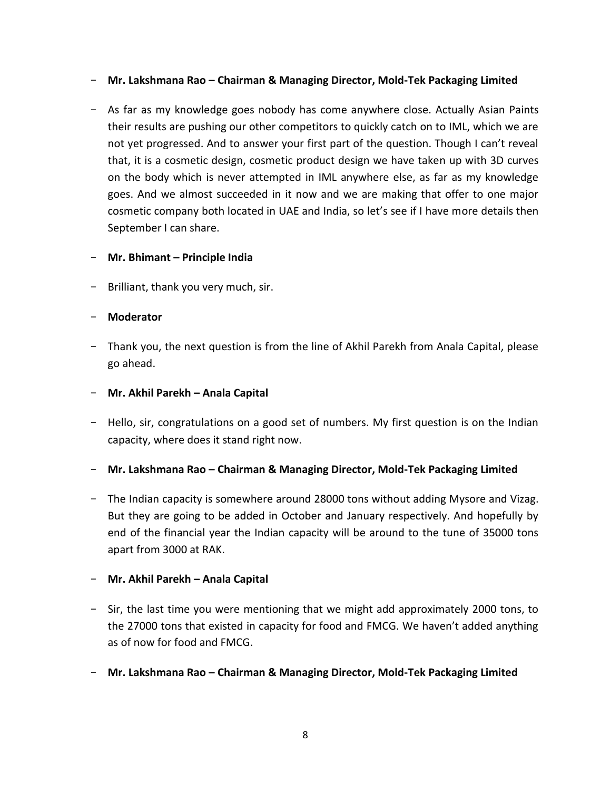- **Mr. Lakshmana Rao – Chairman & Managing Director, Mold-Tek Packaging Limited**
- As far as my knowledge goes nobody has come anywhere close. Actually Asian Paints their results are pushing our other competitors to quickly catch on to IML, which we are not yet progressed. And to answer your first part of the question. Though I can't reveal that, it is a cosmetic design, cosmetic product design we have taken up with 3D curves on the body which is never attempted in IML anywhere else, as far as my knowledge goes. And we almost succeeded in it now and we are making that offer to one major cosmetic company both located in UAE and India, so let's see if I have more details then September I can share.

### - **Mr. Bhimant – Principle India**

- Brilliant, thank you very much, sir.

## - **Moderator**

- Thank you, the next question is from the line of Akhil Parekh from Anala Capital, please go ahead.
- **Mr. Akhil Parekh – Anala Capital**
- Hello, sir, congratulations on a good set of numbers. My first question is on the Indian capacity, where does it stand right now.
- **Mr. Lakshmana Rao – Chairman & Managing Director, Mold-Tek Packaging Limited**
- The Indian capacity is somewhere around 28000 tons without adding Mysore and Vizag. But they are going to be added in October and January respectively. And hopefully by end of the financial year the Indian capacity will be around to the tune of 35000 tons apart from 3000 at RAK.

### - **Mr. Akhil Parekh – Anala Capital**

- Sir, the last time you were mentioning that we might add approximately 2000 tons, to the 27000 tons that existed in capacity for food and FMCG. We haven't added anything as of now for food and FMCG.
- **Mr. Lakshmana Rao – Chairman & Managing Director, Mold-Tek Packaging Limited**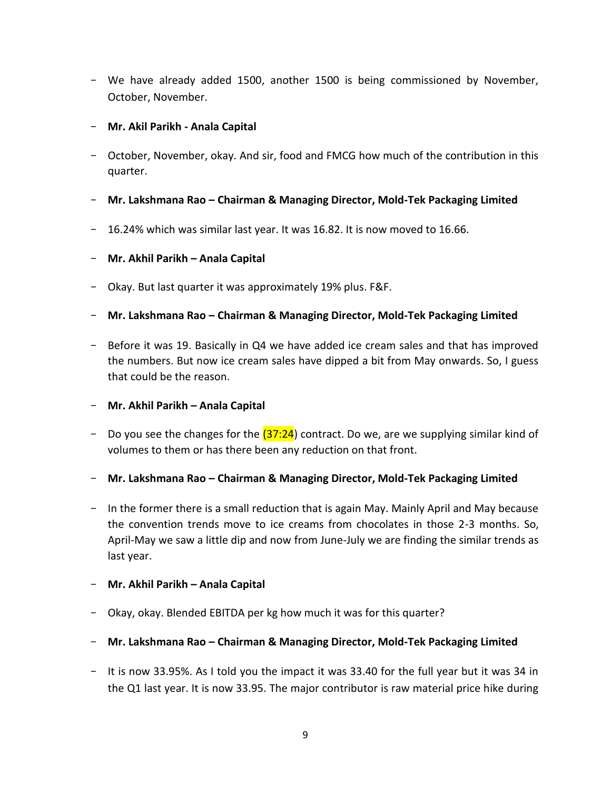- We have already added 1500, another 1500 is being commissioned by November, October, November.
- **Mr. Akil Parikh - Anala Capital**
- October, November, okay. And sir, food and FMCG how much of the contribution in this quarter.
- **Mr. Lakshmana Rao – Chairman & Managing Director, Mold-Tek Packaging Limited**
- 16.24% which was similar last year. It was 16.82. It is now moved to 16.66.

## - **Mr. Akhil Parikh – Anala Capital**

- Okay. But last quarter it was approximately 19% plus. F&F.
- **Mr. Lakshmana Rao – Chairman & Managing Director, Mold-Tek Packaging Limited**
- Before it was 19. Basically in Q4 we have added ice cream sales and that has improved the numbers. But now ice cream sales have dipped a bit from May onwards. So, I guess that could be the reason.
- **Mr. Akhil Parikh – Anala Capital**
- Do you see the changes for the  $(37:24)$  contract. Do we, are we supplying similar kind of volumes to them or has there been any reduction on that front.
- **Mr. Lakshmana Rao – Chairman & Managing Director, Mold-Tek Packaging Limited**
- In the former there is a small reduction that is again May. Mainly April and May because the convention trends move to ice creams from chocolates in those 2-3 months. So, April-May we saw a little dip and now from June-July we are finding the similar trends as last year.

### - **Mr. Akhil Parikh – Anala Capital**

- Okay, okay. Blended EBITDA per kg how much it was for this quarter?
- **Mr. Lakshmana Rao – Chairman & Managing Director, Mold-Tek Packaging Limited**
- It is now 33.95%. As I told you the impact it was 33.40 for the full year but it was 34 in the Q1 last year. It is now 33.95. The major contributor is raw material price hike during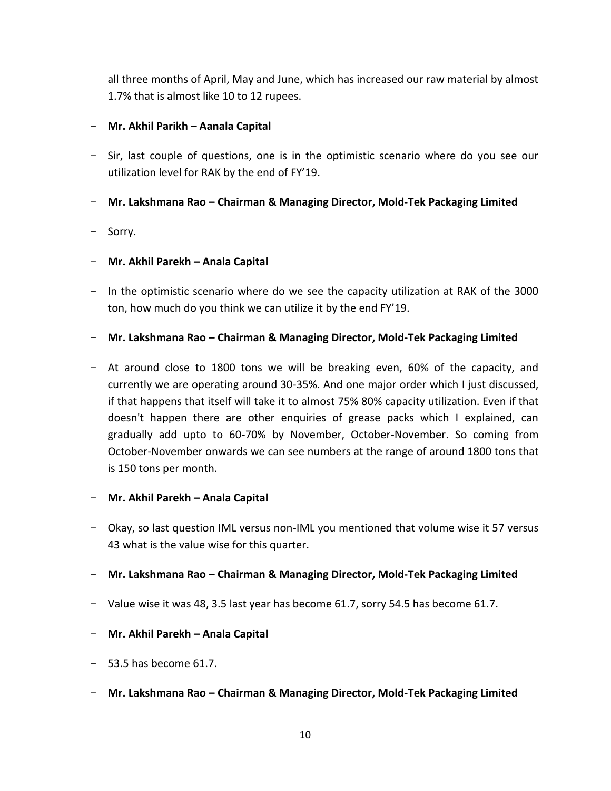all three months of April, May and June, which has increased our raw material by almost 1.7% that is almost like 10 to 12 rupees.

## - **Mr. Akhil Parikh – Aanala Capital**

- Sir, last couple of questions, one is in the optimistic scenario where do you see our utilization level for RAK by the end of FY'19.
- **Mr. Lakshmana Rao – Chairman & Managing Director, Mold-Tek Packaging Limited**
- Sorry.

## - **Mr. Akhil Parekh – Anala Capital**

- In the optimistic scenario where do we see the capacity utilization at RAK of the 3000 ton, how much do you think we can utilize it by the end FY'19.
- **Mr. Lakshmana Rao – Chairman & Managing Director, Mold-Tek Packaging Limited**
- At around close to 1800 tons we will be breaking even, 60% of the capacity, and currently we are operating around 30-35%. And one major order which I just discussed, if that happens that itself will take it to almost 75% 80% capacity utilization. Even if that doesn't happen there are other enquiries of grease packs which I explained, can gradually add upto to 60-70% by November, October-November. So coming from October-November onwards we can see numbers at the range of around 1800 tons that is 150 tons per month.

### - **Mr. Akhil Parekh – Anala Capital**

- Okay, so last question IML versus non-IML you mentioned that volume wise it 57 versus 43 what is the value wise for this quarter.
- **Mr. Lakshmana Rao – Chairman & Managing Director, Mold-Tek Packaging Limited**
- Value wise it was 48, 3.5 last year has become 61.7, sorry 54.5 has become 61.7.
- **Mr. Akhil Parekh – Anala Capital**
- 53.5 has become 61.7.
- **Mr. Lakshmana Rao – Chairman & Managing Director, Mold-Tek Packaging Limited**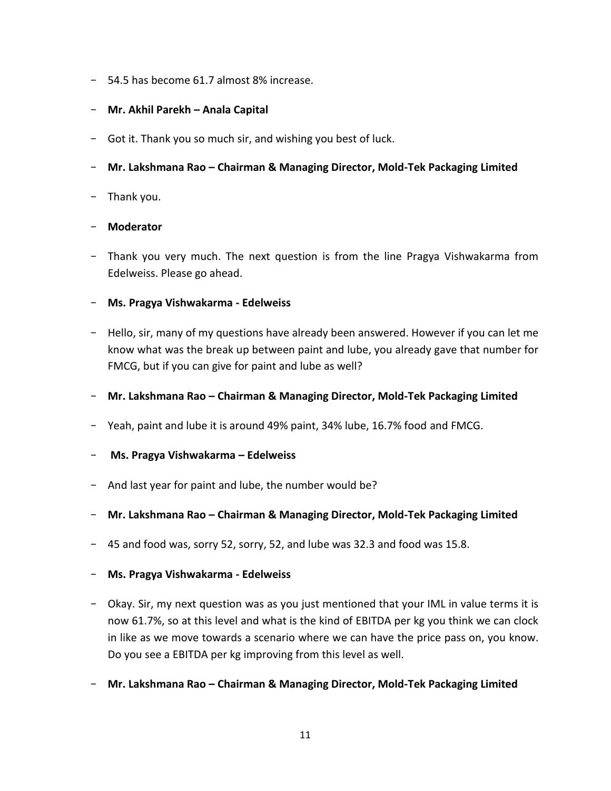- 54.5 has become 61.7 almost 8% increase.

## - **Mr. Akhil Parekh – Anala Capital**

- Got it. Thank you so much sir, and wishing you best of luck.
- **Mr. Lakshmana Rao – Chairman & Managing Director, Mold-Tek Packaging Limited**
- Thank you.

## - **Moderator**

- Thank you very much. The next question is from the line Pragya Vishwakarma from Edelweiss. Please go ahead.

## - **Ms. Pragya Vishwakarma - Edelweiss**

- Hello, sir, many of my questions have already been answered. However if you can let me know what was the break up between paint and lube, you already gave that number for FMCG, but if you can give for paint and lube as well?
- **Mr. Lakshmana Rao – Chairman & Managing Director, Mold-Tek Packaging Limited**
- Yeah, paint and lube it is around 49% paint, 34% lube, 16.7% food and FMCG.
- **Ms. Pragya Vishwakarma – Edelweiss**
- And last year for paint and lube, the number would be?
- **Mr. Lakshmana Rao – Chairman & Managing Director, Mold-Tek Packaging Limited**
- 45 and food was, sorry 52, sorry, 52, and lube was 32.3 and food was 15.8.
- **Ms. Pragya Vishwakarma - Edelweiss**
- Okay. Sir, my next question was as you just mentioned that your IML in value terms it is now 61.7%, so at this level and what is the kind of EBITDA per kg you think we can clock in like as we move towards a scenario where we can have the price pass on, you know. Do you see a EBITDA per kg improving from this level as well.
- **Mr. Lakshmana Rao – Chairman & Managing Director, Mold-Tek Packaging Limited**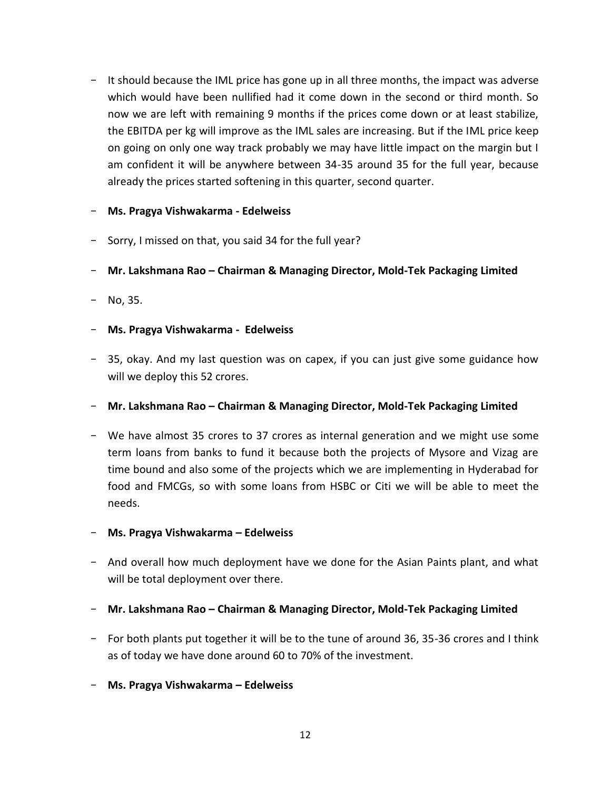- It should because the IML price has gone up in all three months, the impact was adverse which would have been nullified had it come down in the second or third month. So now we are left with remaining 9 months if the prices come down or at least stabilize, the EBITDA per kg will improve as the IML sales are increasing. But if the IML price keep on going on only one way track probably we may have little impact on the margin but I am confident it will be anywhere between 34-35 around 35 for the full year, because already the prices started softening in this quarter, second quarter.

### - **Ms. Pragya Vishwakarma - Edelweiss**

- Sorry, I missed on that, you said 34 for the full year?
- **Mr. Lakshmana Rao – Chairman & Managing Director, Mold-Tek Packaging Limited**
- $-$  No, 35.
- **Ms. Pragya Vishwakarma Edelweiss**
- 35, okay. And my last question was on capex, if you can just give some guidance how will we deploy this 52 crores.
- **Mr. Lakshmana Rao – Chairman & Managing Director, Mold-Tek Packaging Limited**
- We have almost 35 crores to 37 crores as internal generation and we might use some term loans from banks to fund it because both the projects of Mysore and Vizag are time bound and also some of the projects which we are implementing in Hyderabad for food and FMCGs, so with some loans from HSBC or Citi we will be able to meet the needs.
- **Ms. Pragya Vishwakarma – Edelweiss**
- And overall how much deployment have we done for the Asian Paints plant, and what will be total deployment over there.
- **Mr. Lakshmana Rao – Chairman & Managing Director, Mold-Tek Packaging Limited**
- For both plants put together it will be to the tune of around 36, 35-36 crores and I think as of today we have done around 60 to 70% of the investment.
- **Ms. Pragya Vishwakarma – Edelweiss**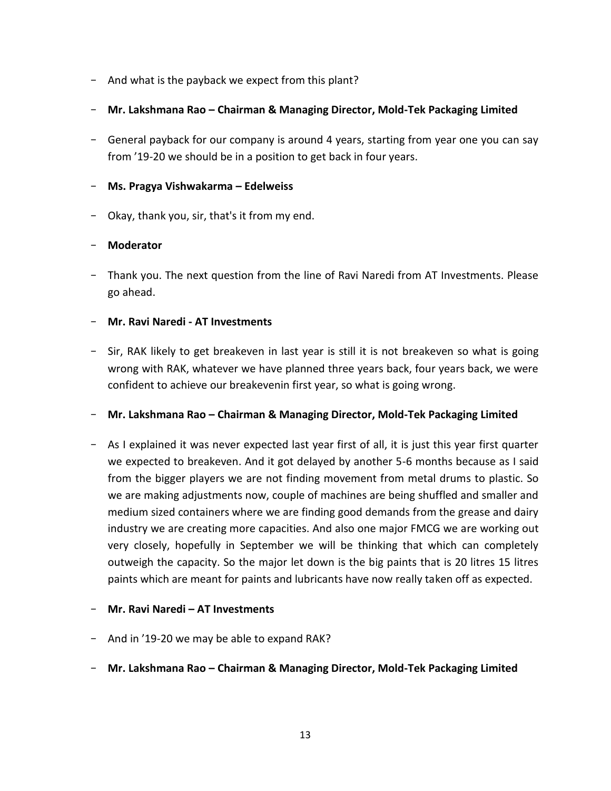- And what is the payback we expect from this plant?
- **Mr. Lakshmana Rao – Chairman & Managing Director, Mold-Tek Packaging Limited**
- General payback for our company is around 4 years, starting from year one you can say from '19-20 we should be in a position to get back in four years.

# - **Ms. Pragya Vishwakarma – Edelweiss**

- Okay, thank you, sir, that's it from my end.

# - **Moderator**

- Thank you. The next question from the line of Ravi Naredi from AT Investments. Please go ahead.

# - **Mr. Ravi Naredi - AT Investments**

- Sir, RAK likely to get breakeven in last year is still it is not breakeven so what is going wrong with RAK, whatever we have planned three years back, four years back, we were confident to achieve our breakevenin first year, so what is going wrong.

# - **Mr. Lakshmana Rao – Chairman & Managing Director, Mold-Tek Packaging Limited**

- As I explained it was never expected last year first of all, it is just this year first quarter we expected to breakeven. And it got delayed by another 5-6 months because as I said from the bigger players we are not finding movement from metal drums to plastic. So we are making adjustments now, couple of machines are being shuffled and smaller and medium sized containers where we are finding good demands from the grease and dairy industry we are creating more capacities. And also one major FMCG we are working out very closely, hopefully in September we will be thinking that which can completely outweigh the capacity. So the major let down is the big paints that is 20 litres 15 litres paints which are meant for paints and lubricants have now really taken off as expected.

# - **Mr. Ravi Naredi – AT Investments**

- And in '19-20 we may be able to expand RAK?
- **Mr. Lakshmana Rao – Chairman & Managing Director, Mold-Tek Packaging Limited**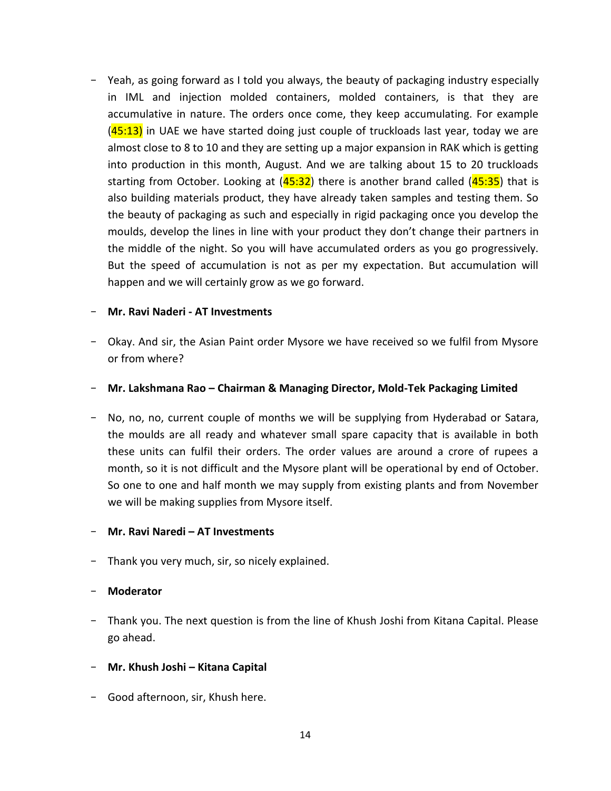- Yeah, as going forward as I told you always, the beauty of packaging industry especially in IML and injection molded containers, molded containers, is that they are accumulative in nature. The orders once come, they keep accumulating. For example  $(45:13)$  in UAE we have started doing just couple of truckloads last year, today we are almost close to 8 to 10 and they are setting up a major expansion in RAK which is getting into production in this month, August. And we are talking about 15 to 20 truckloads starting from October. Looking at  $(45:32)$  there is another brand called  $(45:35)$  that is also building materials product, they have already taken samples and testing them. So the beauty of packaging as such and especially in rigid packaging once you develop the moulds, develop the lines in line with your product they don't change their partners in the middle of the night. So you will have accumulated orders as you go progressively. But the speed of accumulation is not as per my expectation. But accumulation will happen and we will certainly grow as we go forward.

#### - **Mr. Ravi Naderi - AT Investments**

- Okay. And sir, the Asian Paint order Mysore we have received so we fulfil from Mysore or from where?
- **Mr. Lakshmana Rao – Chairman & Managing Director, Mold-Tek Packaging Limited**
- No, no, no, current couple of months we will be supplying from Hyderabad or Satara, the moulds are all ready and whatever small spare capacity that is available in both these units can fulfil their orders. The order values are around a crore of rupees a month, so it is not difficult and the Mysore plant will be operational by end of October. So one to one and half month we may supply from existing plants and from November we will be making supplies from Mysore itself.

#### - **Mr. Ravi Naredi – AT Investments**

- Thank you very much, sir, so nicely explained.

#### - **Moderator**

- Thank you. The next question is from the line of Khush Joshi from Kitana Capital. Please go ahead.
- **Mr. Khush Joshi – Kitana Capital**
- Good afternoon, sir, Khush here.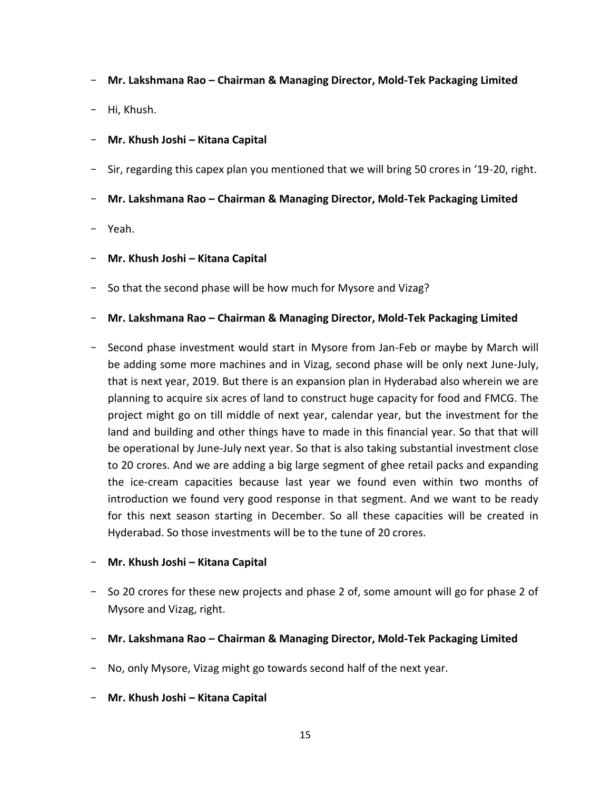- **Mr. Lakshmana Rao – Chairman & Managing Director, Mold-Tek Packaging Limited**
- Hi, Khush.
- **Mr. Khush Joshi – Kitana Capital**
- Sir, regarding this capex plan you mentioned that we will bring 50 crores in '19-20, right.
- **Mr. Lakshmana Rao – Chairman & Managing Director, Mold-Tek Packaging Limited**
- Yeah.
- **Mr. Khush Joshi – Kitana Capital**
- So that the second phase will be how much for Mysore and Vizag?
- **Mr. Lakshmana Rao – Chairman & Managing Director, Mold-Tek Packaging Limited**
- Second phase investment would start in Mysore from Jan-Feb or maybe by March will be adding some more machines and in Vizag, second phase will be only next June-July, that is next year, 2019. But there is an expansion plan in Hyderabad also wherein we are planning to acquire six acres of land to construct huge capacity for food and FMCG. The project might go on till middle of next year, calendar year, but the investment for the land and building and other things have to made in this financial year. So that that will be operational by June-July next year. So that is also taking substantial investment close to 20 crores. And we are adding a big large segment of ghee retail packs and expanding the ice-cream capacities because last year we found even within two months of introduction we found very good response in that segment. And we want to be ready for this next season starting in December. So all these capacities will be created in Hyderabad. So those investments will be to the tune of 20 crores.

### - **Mr. Khush Joshi – Kitana Capital**

- So 20 crores for these new projects and phase 2 of, some amount will go for phase 2 of Mysore and Vizag, right.
- **Mr. Lakshmana Rao – Chairman & Managing Director, Mold-Tek Packaging Limited**
- No, only Mysore, Vizag might go towards second half of the next year.
- **Mr. Khush Joshi – Kitana Capital**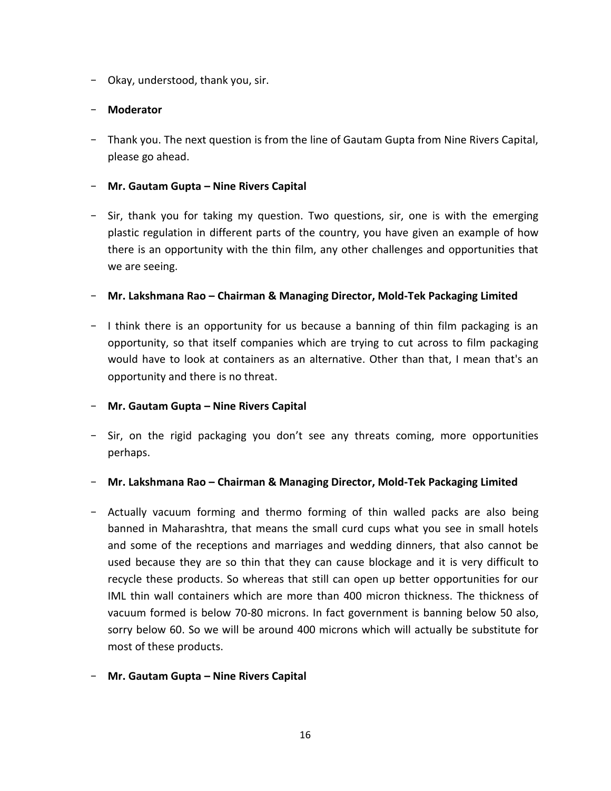- Okay, understood, thank you, sir.

## - **Moderator**

- Thank you. The next question is from the line of Gautam Gupta from Nine Rivers Capital, please go ahead.

### - **Mr. Gautam Gupta – Nine Rivers Capital**

- Sir, thank you for taking my question. Two questions, sir, one is with the emerging plastic regulation in different parts of the country, you have given an example of how there is an opportunity with the thin film, any other challenges and opportunities that we are seeing.

## - **Mr. Lakshmana Rao – Chairman & Managing Director, Mold-Tek Packaging Limited**

- I think there is an opportunity for us because a banning of thin film packaging is an opportunity, so that itself companies which are trying to cut across to film packaging would have to look at containers as an alternative. Other than that, I mean that's an opportunity and there is no threat.
- **Mr. Gautam Gupta – Nine Rivers Capital**
- Sir, on the rigid packaging you don't see any threats coming, more opportunities perhaps.

### - **Mr. Lakshmana Rao – Chairman & Managing Director, Mold-Tek Packaging Limited**

- Actually vacuum forming and thermo forming of thin walled packs are also being banned in Maharashtra, that means the small curd cups what you see in small hotels and some of the receptions and marriages and wedding dinners, that also cannot be used because they are so thin that they can cause blockage and it is very difficult to recycle these products. So whereas that still can open up better opportunities for our IML thin wall containers which are more than 400 micron thickness. The thickness of vacuum formed is below 70-80 microns. In fact government is banning below 50 also, sorry below 60. So we will be around 400 microns which will actually be substitute for most of these products.
- **Mr. Gautam Gupta – Nine Rivers Capital**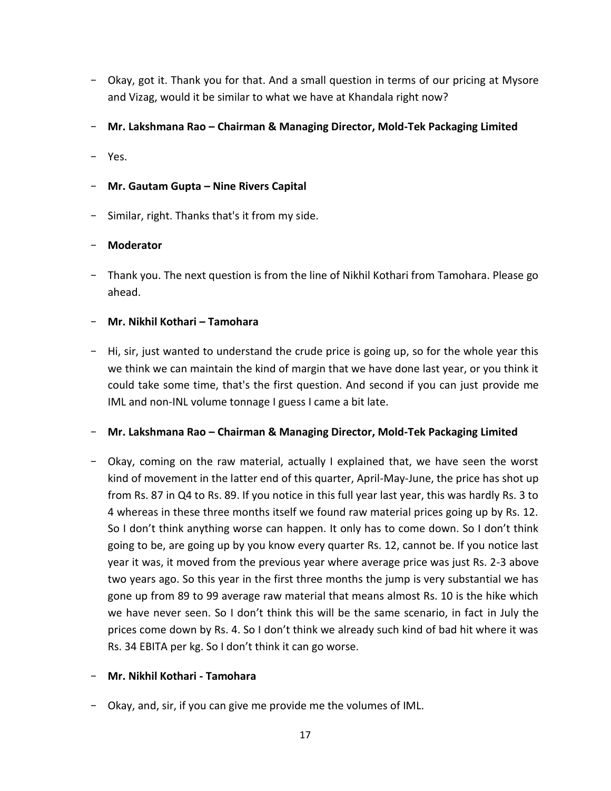- Okay, got it. Thank you for that. And a small question in terms of our pricing at Mysore and Vizag, would it be similar to what we have at Khandala right now?
- **Mr. Lakshmana Rao – Chairman & Managing Director, Mold-Tek Packaging Limited**
- Yes.

## - **Mr. Gautam Gupta – Nine Rivers Capital**

- Similar, right. Thanks that's it from my side.

## - **Moderator**

- Thank you. The next question is from the line of Nikhil Kothari from Tamohara. Please go ahead.

## - **Mr. Nikhil Kothari – Tamohara**

- Hi, sir, just wanted to understand the crude price is going up, so for the whole year this we think we can maintain the kind of margin that we have done last year, or you think it could take some time, that's the first question. And second if you can just provide me IML and non-INL volume tonnage I guess I came a bit late.

### - **Mr. Lakshmana Rao – Chairman & Managing Director, Mold-Tek Packaging Limited**

- Okay, coming on the raw material, actually I explained that, we have seen the worst kind of movement in the latter end of this quarter, April-May-June, the price has shot up from Rs. 87 in Q4 to Rs. 89. If you notice in this full year last year, this was hardly Rs. 3 to 4 whereas in these three months itself we found raw material prices going up by Rs. 12. So I don't think anything worse can happen. It only has to come down. So I don't think going to be, are going up by you know every quarter Rs. 12, cannot be. If you notice last year it was, it moved from the previous year where average price was just Rs. 2-3 above two years ago. So this year in the first three months the jump is very substantial we has gone up from 89 to 99 average raw material that means almost Rs. 10 is the hike which we have never seen. So I don't think this will be the same scenario, in fact in July the prices come down by Rs. 4. So I don't think we already such kind of bad hit where it was Rs. 34 EBITA per kg. So I don't think it can go worse.

### - **Mr. Nikhil Kothari - Tamohara**

- Okay, and, sir, if you can give me provide me the volumes of IML.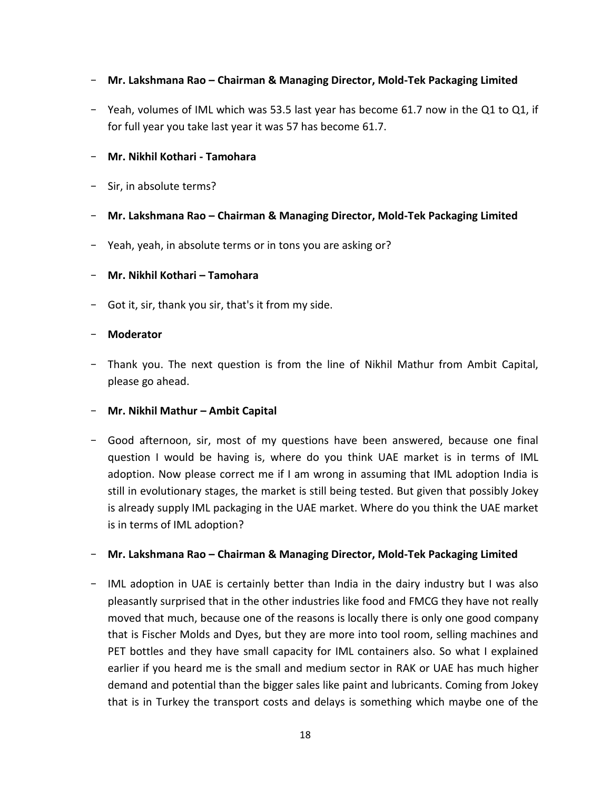# - **Mr. Lakshmana Rao – Chairman & Managing Director, Mold-Tek Packaging Limited**

- Yeah, volumes of IML which was 53.5 last year has become 61.7 now in the Q1 to Q1, if for full year you take last year it was 57 has become 61.7.

### - **Mr. Nikhil Kothari - Tamohara**

- Sir, in absolute terms?
- **Mr. Lakshmana Rao – Chairman & Managing Director, Mold-Tek Packaging Limited**
- Yeah, yeah, in absolute terms or in tons you are asking or?

### - **Mr. Nikhil Kothari – Tamohara**

- Got it, sir, thank you sir, that's it from my side.

### - **Moderator**

- Thank you. The next question is from the line of Nikhil Mathur from Ambit Capital, please go ahead.

### - **Mr. Nikhil Mathur – Ambit Capital**

- Good afternoon, sir, most of my questions have been answered, because one final question I would be having is, where do you think UAE market is in terms of IML adoption. Now please correct me if I am wrong in assuming that IML adoption India is still in evolutionary stages, the market is still being tested. But given that possibly Jokey is already supply IML packaging in the UAE market. Where do you think the UAE market is in terms of IML adoption?

### - **Mr. Lakshmana Rao – Chairman & Managing Director, Mold-Tek Packaging Limited**

- IML adoption in UAE is certainly better than India in the dairy industry but I was also pleasantly surprised that in the other industries like food and FMCG they have not really moved that much, because one of the reasons is locally there is only one good company that is Fischer Molds and Dyes, but they are more into tool room, selling machines and PET bottles and they have small capacity for IML containers also. So what I explained earlier if you heard me is the small and medium sector in RAK or UAE has much higher demand and potential than the bigger sales like paint and lubricants. Coming from Jokey that is in Turkey the transport costs and delays is something which maybe one of the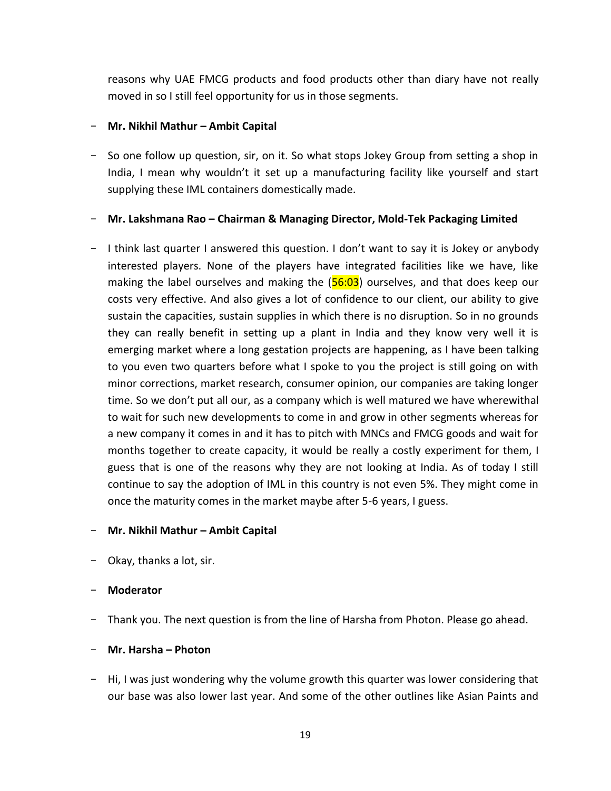reasons why UAE FMCG products and food products other than diary have not really moved in so I still feel opportunity for us in those segments.

### - **Mr. Nikhil Mathur – Ambit Capital**

- So one follow up question, sir, on it. So what stops Jokey Group from setting a shop in India, I mean why wouldn't it set up a manufacturing facility like yourself and start supplying these IML containers domestically made.

### - **Mr. Lakshmana Rao – Chairman & Managing Director, Mold-Tek Packaging Limited**

- I think last quarter I answered this question. I don't want to say it is Jokey or anybody interested players. None of the players have integrated facilities like we have, like making the label ourselves and making the  $(56:03)$  ourselves, and that does keep our costs very effective. And also gives a lot of confidence to our client, our ability to give sustain the capacities, sustain supplies in which there is no disruption. So in no grounds they can really benefit in setting up a plant in India and they know very well it is emerging market where a long gestation projects are happening, as I have been talking to you even two quarters before what I spoke to you the project is still going on with minor corrections, market research, consumer opinion, our companies are taking longer time. So we don't put all our, as a company which is well matured we have wherewithal to wait for such new developments to come in and grow in other segments whereas for a new company it comes in and it has to pitch with MNCs and FMCG goods and wait for months together to create capacity, it would be really a costly experiment for them, I guess that is one of the reasons why they are not looking at India. As of today I still continue to say the adoption of IML in this country is not even 5%. They might come in once the maturity comes in the market maybe after 5-6 years, I guess.

### - **Mr. Nikhil Mathur – Ambit Capital**

- Okay, thanks a lot, sir.

### - **Moderator**

- Thank you. The next question is from the line of Harsha from Photon. Please go ahead.

### - **Mr. Harsha – Photon**

- Hi, I was just wondering why the volume growth this quarter was lower considering that our base was also lower last year. And some of the other outlines like Asian Paints and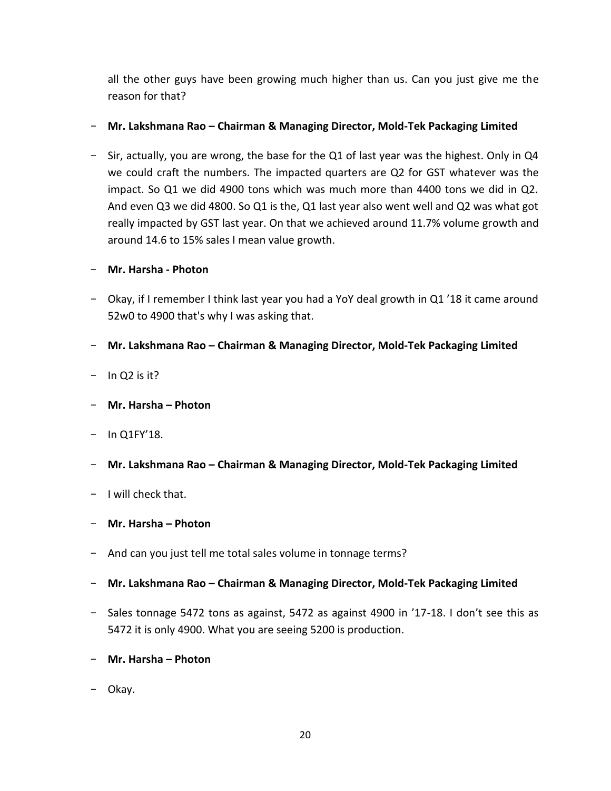all the other guys have been growing much higher than us. Can you just give me the reason for that?

# - **Mr. Lakshmana Rao – Chairman & Managing Director, Mold-Tek Packaging Limited**

- Sir, actually, you are wrong, the base for the Q1 of last year was the highest. Only in Q4 we could craft the numbers. The impacted quarters are Q2 for GST whatever was the impact. So Q1 we did 4900 tons which was much more than 4400 tons we did in Q2. And even Q3 we did 4800. So Q1 is the, Q1 last year also went well and Q2 was what got really impacted by GST last year. On that we achieved around 11.7% volume growth and around 14.6 to 15% sales I mean value growth.

# - **Mr. Harsha - Photon**

- Okay, if I remember I think last year you had a YoY deal growth in Q1 '18 it came around 52w0 to 4900 that's why I was asking that.
- **Mr. Lakshmana Rao – Chairman & Managing Director, Mold-Tek Packaging Limited**
- $-$  In Q<sub>2</sub> is it?
- **Mr. Harsha – Photon**
- $-$  In Q1FY'18.
- **Mr. Lakshmana Rao – Chairman & Managing Director, Mold-Tek Packaging Limited**
- I will check that.
- **Mr. Harsha – Photon**
- And can you just tell me total sales volume in tonnage terms?
- **Mr. Lakshmana Rao – Chairman & Managing Director, Mold-Tek Packaging Limited**
- Sales tonnage 5472 tons as against, 5472 as against 4900 in '17-18. I don't see this as 5472 it is only 4900. What you are seeing 5200 is production.
- **Mr. Harsha – Photon**
- Okay.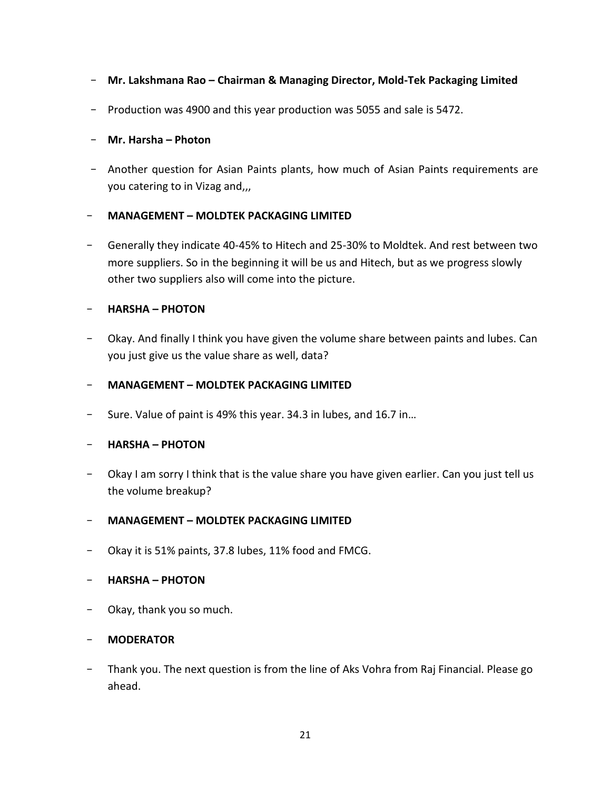- **Mr. Lakshmana Rao – Chairman & Managing Director, Mold-Tek Packaging Limited**
- Production was 4900 and this year production was 5055 and sale is 5472.

# - **Mr. Harsha – Photon**

- Another question for Asian Paints plants, how much of Asian Paints requirements are you catering to in Vizag and,,,

# - **MANAGEMENT – MOLDTEK PACKAGING LIMITED**

- Generally they indicate 40-45% to Hitech and 25-30% to Moldtek. And rest between two more suppliers. So in the beginning it will be us and Hitech, but as we progress slowly other two suppliers also will come into the picture.

# - **HARSHA – PHOTON**

- Okay. And finally I think you have given the volume share between paints and lubes. Can you just give us the value share as well, data?

# - **MANAGEMENT – MOLDTEK PACKAGING LIMITED**

- Sure. Value of paint is 49% this year. 34.3 in lubes, and 16.7 in…

# - **HARSHA – PHOTON**

- Okay I am sorry I think that is the value share you have given earlier. Can you just tell us the volume breakup?

# - **MANAGEMENT – MOLDTEK PACKAGING LIMITED**

- Okay it is 51% paints, 37.8 lubes, 11% food and FMCG.

# - **HARSHA – PHOTON**

- Okay, thank you so much.

# - **MODERATOR**

Thank you. The next question is from the line of Aks Vohra from Raj Financial. Please go ahead.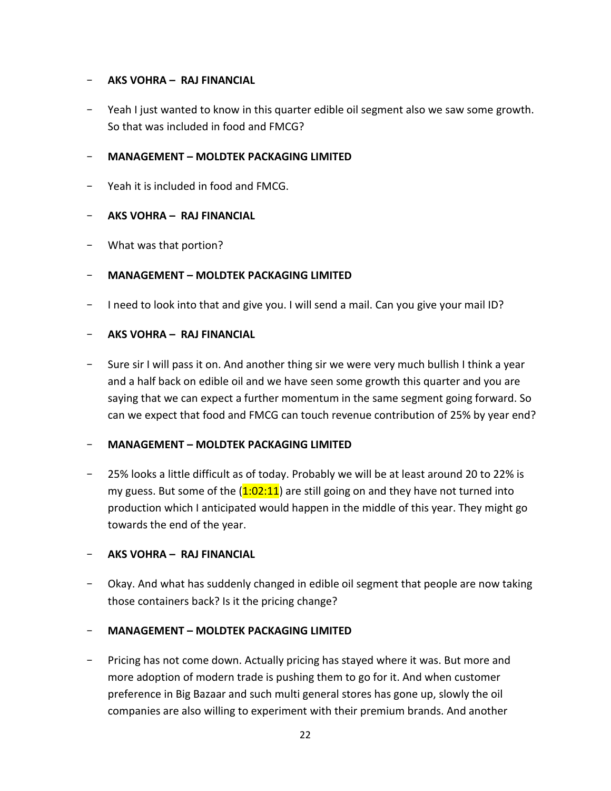## - **AKS VOHRA – RAJ FINANCIAL**

Yeah I just wanted to know in this quarter edible oil segment also we saw some growth. So that was included in food and FMCG?

## - **MANAGEMENT – MOLDTEK PACKAGING LIMITED**

- Yeah it is included in food and FMCG.

## - **AKS VOHRA – RAJ FINANCIAL**

What was that portion?

## - **MANAGEMENT – MOLDTEK PACKAGING LIMITED**

- I need to look into that and give you. I will send a mail. Can you give your mail ID?

## - **AKS VOHRA – RAJ FINANCIAL**

Sure sir I will pass it on. And another thing sir we were very much bullish I think a year and a half back on edible oil and we have seen some growth this quarter and you are saying that we can expect a further momentum in the same segment going forward. So can we expect that food and FMCG can touch revenue contribution of 25% by year end?

### - **MANAGEMENT – MOLDTEK PACKAGING LIMITED**

- 25% looks a little difficult as of today. Probably we will be at least around 20 to 22% is my guess. But some of the  $(1:02:11)$  are still going on and they have not turned into production which I anticipated would happen in the middle of this year. They might go towards the end of the year.

### - **AKS VOHRA – RAJ FINANCIAL**

- Okay. And what has suddenly changed in edible oil segment that people are now taking those containers back? Is it the pricing change?

### - **MANAGEMENT – MOLDTEK PACKAGING LIMITED**

Pricing has not come down. Actually pricing has stayed where it was. But more and more adoption of modern trade is pushing them to go for it. And when customer preference in Big Bazaar and such multi general stores has gone up, slowly the oil companies are also willing to experiment with their premium brands. And another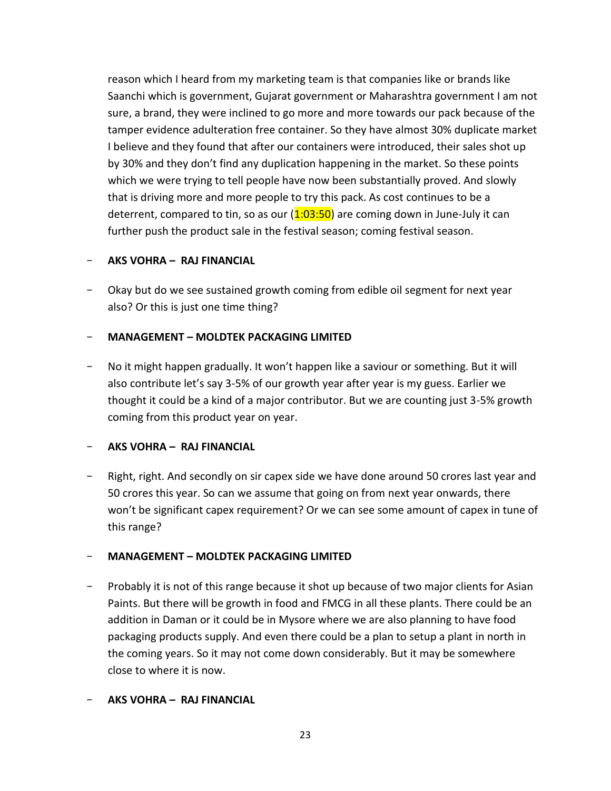reason which I heard from my marketing team is that companies like or brands like Saanchi which is government, Gujarat government or Maharashtra government I am not sure, a brand, they were inclined to go more and more towards our pack because of the tamper evidence adulteration free container. So they have almost 30% duplicate market I believe and they found that after our containers were introduced, their sales shot up by 30% and they don't find any duplication happening in the market. So these points which we were trying to tell people have now been substantially proved. And slowly that is driving more and more people to try this pack. As cost continues to be a deterrent, compared to tin, so as our  $(1:03:50)$  are coming down in June-July it can further push the product sale in the festival season; coming festival season.

# - **AKS VOHRA – RAJ FINANCIAL**

Okay but do we see sustained growth coming from edible oil segment for next year also? Or this is just one time thing?

# - **MANAGEMENT – MOLDTEK PACKAGING LIMITED**

- No it might happen gradually. It won't happen like a saviour or something. But it will also contribute let's say 3-5% of our growth year after year is my guess. Earlier we thought it could be a kind of a major contributor. But we are counting just 3-5% growth coming from this product year on year.

# - **AKS VOHRA – RAJ FINANCIAL**

Right, right. And secondly on sir capex side we have done around 50 crores last year and 50 crores this year. So can we assume that going on from next year onwards, there won't be significant capex requirement? Or we can see some amount of capex in tune of this range?

# - **MANAGEMENT – MOLDTEK PACKAGING LIMITED**

Probably it is not of this range because it shot up because of two major clients for Asian Paints. But there will be growth in food and FMCG in all these plants. There could be an addition in Daman or it could be in Mysore where we are also planning to have food packaging products supply. And even there could be a plan to setup a plant in north in the coming years. So it may not come down considerably. But it may be somewhere close to where it is now.

# - **AKS VOHRA – RAJ FINANCIAL**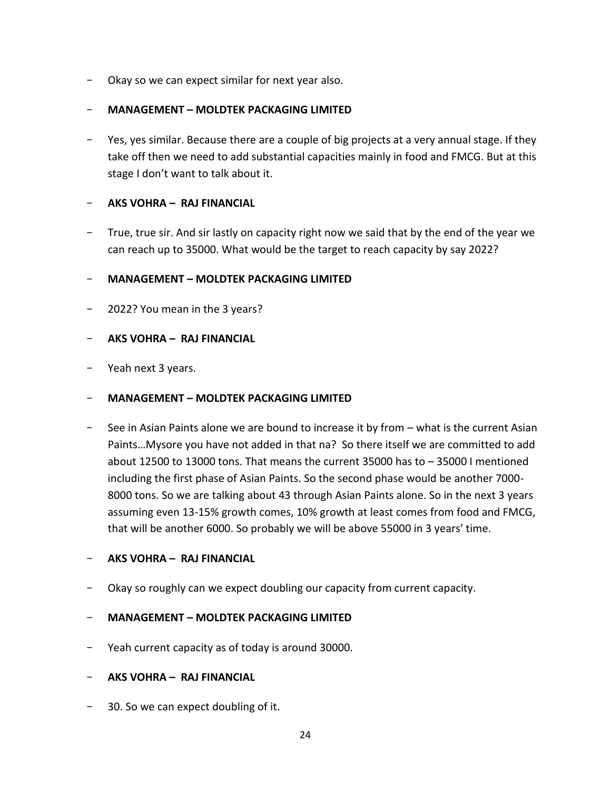Okay so we can expect similar for next year also.

### - **MANAGEMENT – MOLDTEK PACKAGING LIMITED**

Yes, yes similar. Because there are a couple of big projects at a very annual stage. If they take off then we need to add substantial capacities mainly in food and FMCG. But at this stage I don't want to talk about it.

## - **AKS VOHRA – RAJ FINANCIAL**

True, true sir. And sir lastly on capacity right now we said that by the end of the year we can reach up to 35000. What would be the target to reach capacity by say 2022?

## - **MANAGEMENT – MOLDTEK PACKAGING LIMITED**

2022? You mean in the 3 years?

## - **AKS VOHRA – RAJ FINANCIAL**

Yeah next 3 years.

### - **MANAGEMENT – MOLDTEK PACKAGING LIMITED**

See in Asian Paints alone we are bound to increase it by from – what is the current Asian Paints…Mysore you have not added in that na? So there itself we are committed to add about 12500 to 13000 tons. That means the current 35000 has to – 35000 I mentioned including the first phase of Asian Paints. So the second phase would be another 7000- 8000 tons. So we are talking about 43 through Asian Paints alone. So in the next 3 years assuming even 13-15% growth comes, 10% growth at least comes from food and FMCG, that will be another 6000. So probably we will be above 55000 in 3 years' time.

### - **AKS VOHRA – RAJ FINANCIAL**

- Okay so roughly can we expect doubling our capacity from current capacity.

### - **MANAGEMENT – MOLDTEK PACKAGING LIMITED**

Yeah current capacity as of today is around 30000.

### - **AKS VOHRA – RAJ FINANCIAL**

- 30. So we can expect doubling of it.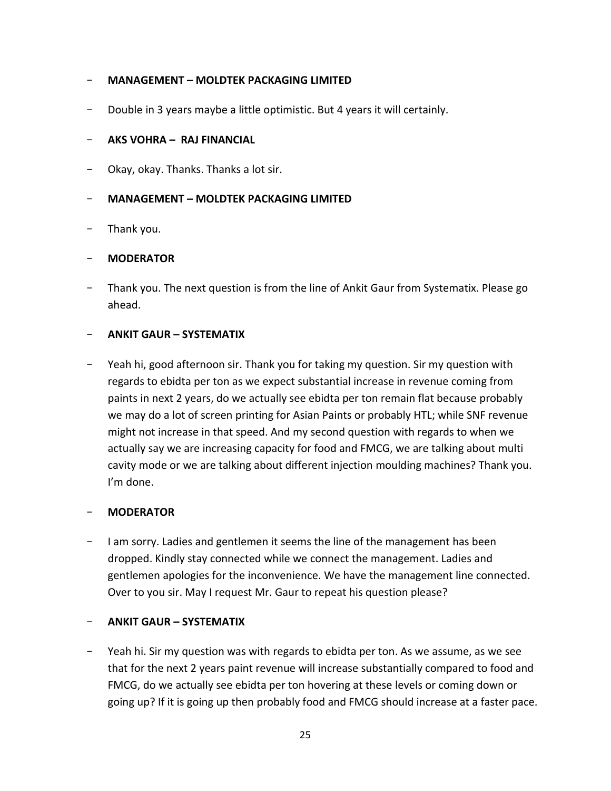## - **MANAGEMENT – MOLDTEK PACKAGING LIMITED**

Double in 3 years maybe a little optimistic. But 4 years it will certainly.

### - **AKS VOHRA – RAJ FINANCIAL**

Okay, okay. Thanks. Thanks a lot sir.

### - **MANAGEMENT – MOLDTEK PACKAGING LIMITED**

- Thank you.

## - **MODERATOR**

Thank you. The next question is from the line of Ankit Gaur from Systematix. Please go ahead.

## - **ANKIT GAUR – SYSTEMATIX**

- Yeah hi, good afternoon sir. Thank you for taking my question. Sir my question with regards to ebidta per ton as we expect substantial increase in revenue coming from paints in next 2 years, do we actually see ebidta per ton remain flat because probably we may do a lot of screen printing for Asian Paints or probably HTL; while SNF revenue might not increase in that speed. And my second question with regards to when we actually say we are increasing capacity for food and FMCG, we are talking about multi cavity mode or we are talking about different injection moulding machines? Thank you. I'm done.

### - **MODERATOR**

- I am sorry. Ladies and gentlemen it seems the line of the management has been dropped. Kindly stay connected while we connect the management. Ladies and gentlemen apologies for the inconvenience. We have the management line connected. Over to you sir. May I request Mr. Gaur to repeat his question please?

### - **ANKIT GAUR – SYSTEMATIX**

- Yeah hi. Sir my question was with regards to ebidta per ton. As we assume, as we see that for the next 2 years paint revenue will increase substantially compared to food and FMCG, do we actually see ebidta per ton hovering at these levels or coming down or going up? If it is going up then probably food and FMCG should increase at a faster pace.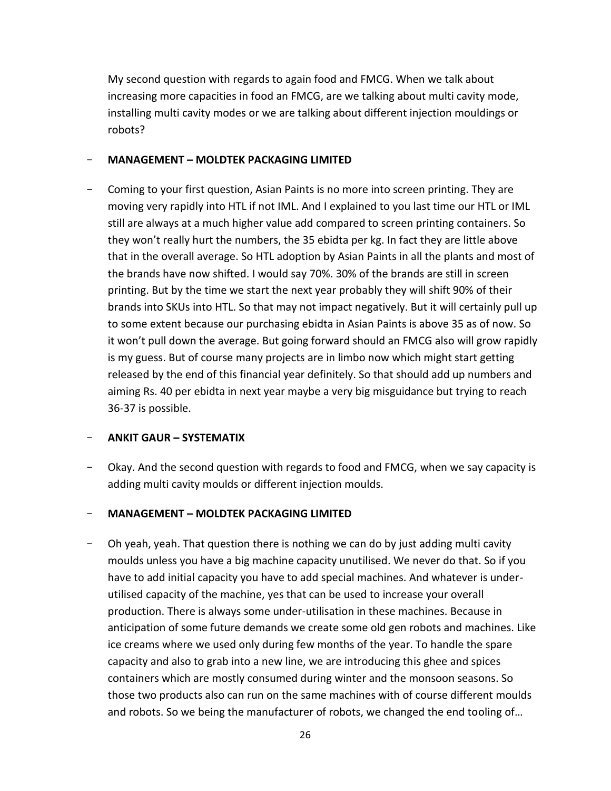My second question with regards to again food and FMCG. When we talk about increasing more capacities in food an FMCG, are we talking about multi cavity mode, installing multi cavity modes or we are talking about different injection mouldings or robots?

### - **MANAGEMENT – MOLDTEK PACKAGING LIMITED**

Coming to your first question, Asian Paints is no more into screen printing. They are moving very rapidly into HTL if not IML. And I explained to you last time our HTL or IML still are always at a much higher value add compared to screen printing containers. So they won't really hurt the numbers, the 35 ebidta per kg. In fact they are little above that in the overall average. So HTL adoption by Asian Paints in all the plants and most of the brands have now shifted. I would say 70%. 30% of the brands are still in screen printing. But by the time we start the next year probably they will shift 90% of their brands into SKUs into HTL. So that may not impact negatively. But it will certainly pull up to some extent because our purchasing ebidta in Asian Paints is above 35 as of now. So it won't pull down the average. But going forward should an FMCG also will grow rapidly is my guess. But of course many projects are in limbo now which might start getting released by the end of this financial year definitely. So that should add up numbers and aiming Rs. 40 per ebidta in next year maybe a very big misguidance but trying to reach 36-37 is possible.

# - **ANKIT GAUR – SYSTEMATIX**

Okay. And the second question with regards to food and FMCG, when we say capacity is adding multi cavity moulds or different injection moulds.

# - **MANAGEMENT – MOLDTEK PACKAGING LIMITED**

Oh yeah, yeah. That question there is nothing we can do by just adding multi cavity moulds unless you have a big machine capacity unutilised. We never do that. So if you have to add initial capacity you have to add special machines. And whatever is underutilised capacity of the machine, yes that can be used to increase your overall production. There is always some under-utilisation in these machines. Because in anticipation of some future demands we create some old gen robots and machines. Like ice creams where we used only during few months of the year. To handle the spare capacity and also to grab into a new line, we are introducing this ghee and spices containers which are mostly consumed during winter and the monsoon seasons. So those two products also can run on the same machines with of course different moulds and robots. So we being the manufacturer of robots, we changed the end tooling of…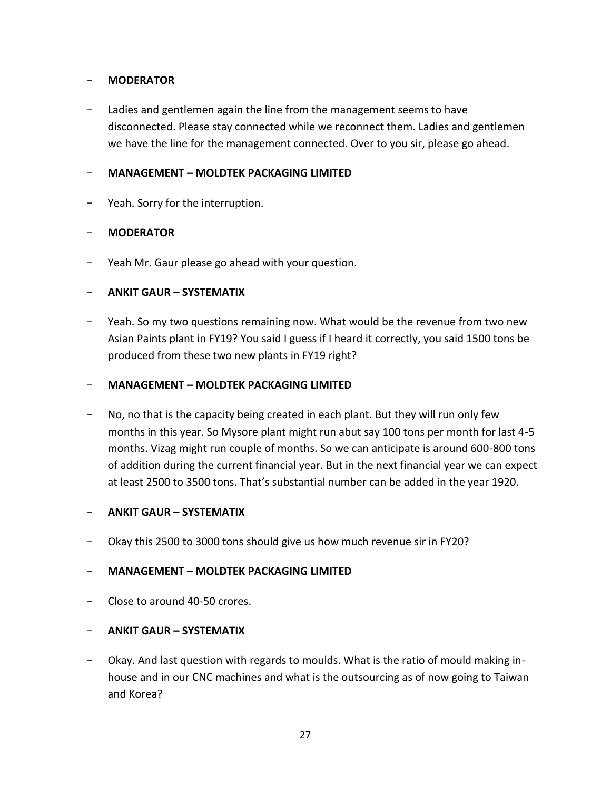## - **MODERATOR**

Ladies and gentlemen again the line from the management seems to have disconnected. Please stay connected while we reconnect them. Ladies and gentlemen we have the line for the management connected. Over to you sir, please go ahead.

### - **MANAGEMENT – MOLDTEK PACKAGING LIMITED**

Yeah. Sorry for the interruption.

## - **MODERATOR**

Yeah Mr. Gaur please go ahead with your question.

## - **ANKIT GAUR – SYSTEMATIX**

- Yeah. So my two questions remaining now. What would be the revenue from two new Asian Paints plant in FY19? You said I guess if I heard it correctly, you said 1500 tons be produced from these two new plants in FY19 right?

### - **MANAGEMENT – MOLDTEK PACKAGING LIMITED**

No, no that is the capacity being created in each plant. But they will run only few months in this year. So Mysore plant might run abut say 100 tons per month for last 4-5 months. Vizag might run couple of months. So we can anticipate is around 600-800 tons of addition during the current financial year. But in the next financial year we can expect at least 2500 to 3500 tons. That's substantial number can be added in the year 1920.

### - **ANKIT GAUR – SYSTEMATIX**

Okay this 2500 to 3000 tons should give us how much revenue sir in FY20?

# - **MANAGEMENT – MOLDTEK PACKAGING LIMITED**

- Close to around 40-50 crores.

# - **ANKIT GAUR – SYSTEMATIX**

- Okay. And last question with regards to moulds. What is the ratio of mould making inhouse and in our CNC machines and what is the outsourcing as of now going to Taiwan and Korea?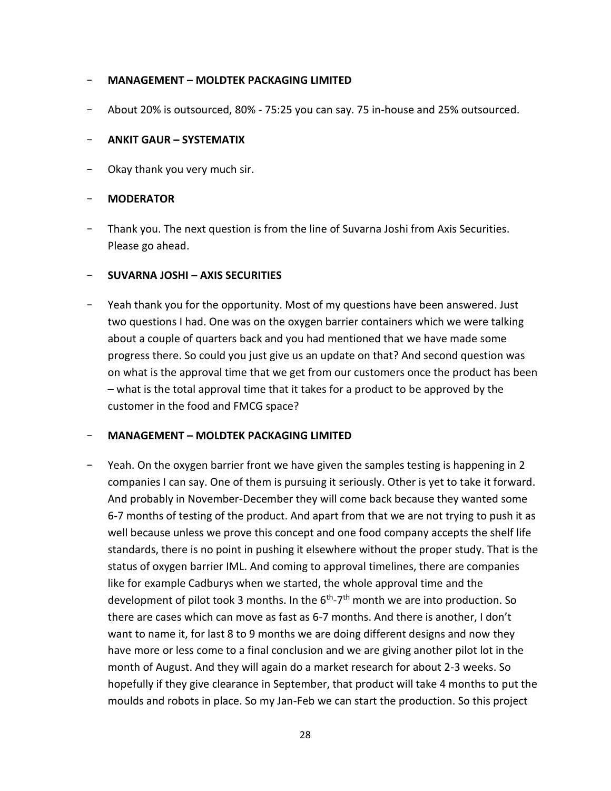### - **MANAGEMENT – MOLDTEK PACKAGING LIMITED**

- About 20% is outsourced, 80% - 75:25 you can say. 75 in-house and 25% outsourced.

#### - **ANKIT GAUR – SYSTEMATIX**

Okay thank you very much sir.

#### - **MODERATOR**

Thank you. The next question is from the line of Suvarna Joshi from Axis Securities. Please go ahead.

#### - **SUVARNA JOSHI – AXIS SECURITIES**

Yeah thank you for the opportunity. Most of my questions have been answered. Just two questions I had. One was on the oxygen barrier containers which we were talking about a couple of quarters back and you had mentioned that we have made some progress there. So could you just give us an update on that? And second question was on what is the approval time that we get from our customers once the product has been – what is the total approval time that it takes for a product to be approved by the customer in the food and FMCG space?

### - **MANAGEMENT – MOLDTEK PACKAGING LIMITED**

- Yeah. On the oxygen barrier front we have given the samples testing is happening in 2 companies I can say. One of them is pursuing it seriously. Other is yet to take it forward. And probably in November-December they will come back because they wanted some 6-7 months of testing of the product. And apart from that we are not trying to push it as well because unless we prove this concept and one food company accepts the shelf life standards, there is no point in pushing it elsewhere without the proper study. That is the status of oxygen barrier IML. And coming to approval timelines, there are companies like for example Cadburys when we started, the whole approval time and the development of pilot took 3 months. In the 6<sup>th</sup>-7<sup>th</sup> month we are into production. So there are cases which can move as fast as 6-7 months. And there is another, I don't want to name it, for last 8 to 9 months we are doing different designs and now they have more or less come to a final conclusion and we are giving another pilot lot in the month of August. And they will again do a market research for about 2-3 weeks. So hopefully if they give clearance in September, that product will take 4 months to put the moulds and robots in place. So my Jan-Feb we can start the production. So this project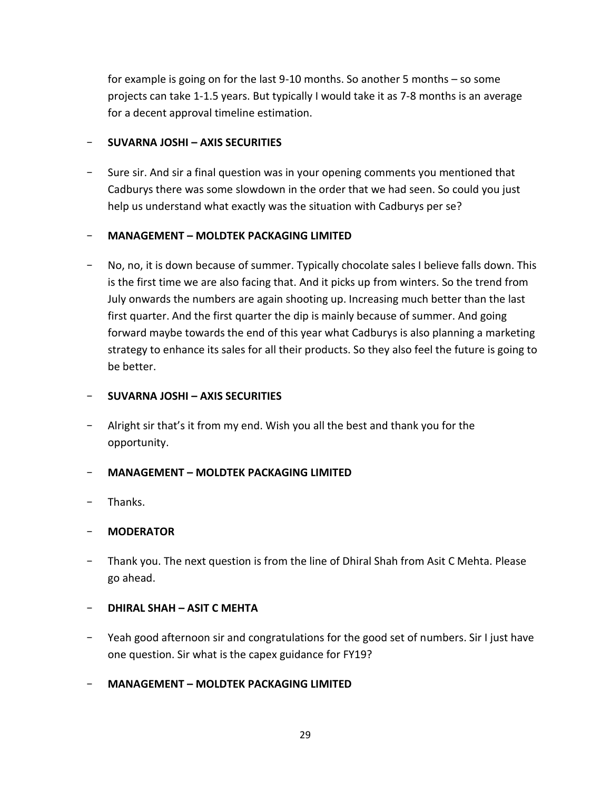for example is going on for the last 9-10 months. So another 5 months – so some projects can take 1-1.5 years. But typically I would take it as 7-8 months is an average for a decent approval timeline estimation.

## - **SUVARNA JOSHI – AXIS SECURITIES**

- Sure sir. And sir a final question was in your opening comments you mentioned that Cadburys there was some slowdown in the order that we had seen. So could you just help us understand what exactly was the situation with Cadburys per se?

## - **MANAGEMENT – MOLDTEK PACKAGING LIMITED**

No, no, it is down because of summer. Typically chocolate sales I believe falls down. This is the first time we are also facing that. And it picks up from winters. So the trend from July onwards the numbers are again shooting up. Increasing much better than the last first quarter. And the first quarter the dip is mainly because of summer. And going forward maybe towards the end of this year what Cadburys is also planning a marketing strategy to enhance its sales for all their products. So they also feel the future is going to be better.

### - **SUVARNA JOSHI – AXIS SECURITIES**

Alright sir that's it from my end. Wish you all the best and thank you for the opportunity.

# - **MANAGEMENT – MOLDTEK PACKAGING LIMITED**

- Thanks.

### - **MODERATOR**

Thank you. The next question is from the line of Dhiral Shah from Asit C Mehta. Please go ahead.

### - **DHIRAL SHAH – ASIT C MEHTA**

- Yeah good afternoon sir and congratulations for the good set of numbers. Sir I just have one question. Sir what is the capex guidance for FY19?
- **MANAGEMENT – MOLDTEK PACKAGING LIMITED**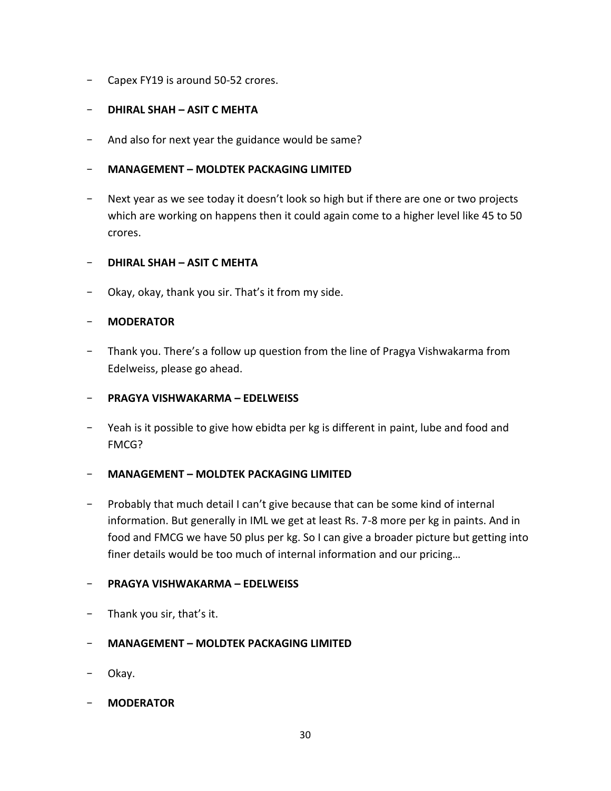- Capex FY19 is around 50-52 crores.

# - **DHIRAL SHAH – ASIT C MEHTA**

And also for next year the guidance would be same?

## - **MANAGEMENT – MOLDTEK PACKAGING LIMITED**

Next year as we see today it doesn't look so high but if there are one or two projects which are working on happens then it could again come to a higher level like 45 to 50 crores.

# - **DHIRAL SHAH – ASIT C MEHTA**

- Okay, okay, thank you sir. That's it from my side.

## - **MODERATOR**

Thank you. There's a follow up question from the line of Pragya Vishwakarma from Edelweiss, please go ahead.

### - **PRAGYA VISHWAKARMA – EDELWEISS**

- Yeah is it possible to give how ebidta per kg is different in paint, lube and food and FMCG?

### - **MANAGEMENT – MOLDTEK PACKAGING LIMITED**

- Probably that much detail I can't give because that can be some kind of internal information. But generally in IML we get at least Rs. 7-8 more per kg in paints. And in food and FMCG we have 50 plus per kg. So I can give a broader picture but getting into finer details would be too much of internal information and our pricing…

# - **PRAGYA VISHWAKARMA – EDELWEISS**

- Thank you sir, that's it.

# - **MANAGEMENT – MOLDTEK PACKAGING LIMITED**

- Okay.
- **MODERATOR**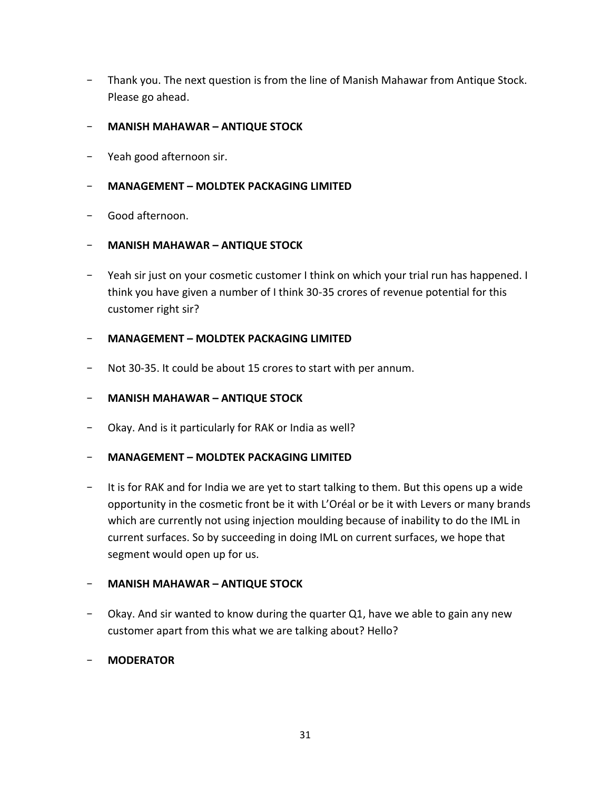- Thank you. The next question is from the line of Manish Mahawar from Antique Stock. Please go ahead.
- **MANISH MAHAWAR – ANTIQUE STOCK**
- Yeah good afternoon sir.

## - **MANAGEMENT – MOLDTEK PACKAGING LIMITED**

- Good afternoon.
- **MANISH MAHAWAR – ANTIQUE STOCK**
- Yeah sir just on your cosmetic customer I think on which your trial run has happened. I think you have given a number of I think 30-35 crores of revenue potential for this customer right sir?

### - **MANAGEMENT – MOLDTEK PACKAGING LIMITED**

- Not 30-35. It could be about 15 crores to start with per annum.
- **MANISH MAHAWAR – ANTIQUE STOCK**
- Okay. And is it particularly for RAK or India as well?

### - **MANAGEMENT – MOLDTEK PACKAGING LIMITED**

- It is for RAK and for India we are yet to start talking to them. But this opens up a wide opportunity in the cosmetic front be it with L'Oréal or be it with Levers or many brands which are currently not using injection moulding because of inability to do the IML in current surfaces. So by succeeding in doing IML on current surfaces, we hope that segment would open up for us.

### - **MANISH MAHAWAR – ANTIQUE STOCK**

- Okay. And sir wanted to know during the quarter Q1, have we able to gain any new customer apart from this what we are talking about? Hello?

#### - **MODERATOR**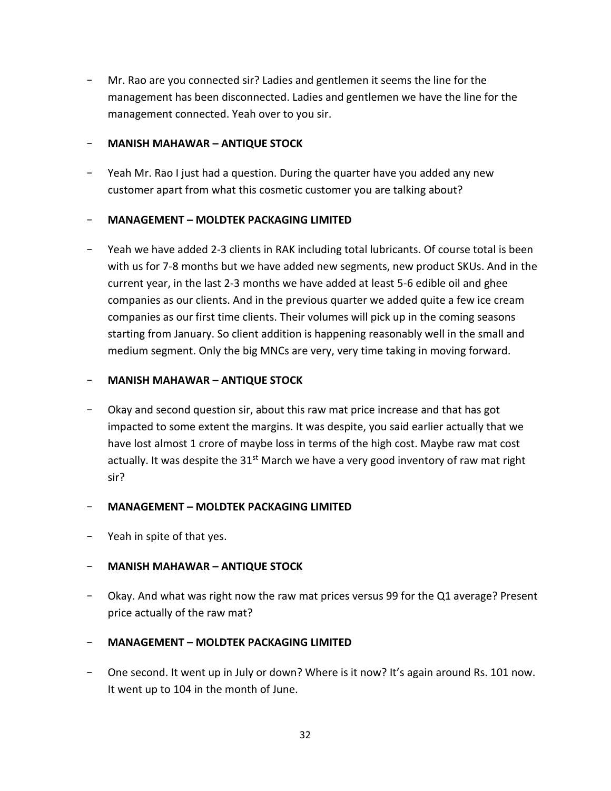Mr. Rao are you connected sir? Ladies and gentlemen it seems the line for the management has been disconnected. Ladies and gentlemen we have the line for the management connected. Yeah over to you sir.

## - **MANISH MAHAWAR – ANTIQUE STOCK**

- Yeah Mr. Rao I just had a question. During the quarter have you added any new customer apart from what this cosmetic customer you are talking about?

# - **MANAGEMENT – MOLDTEK PACKAGING LIMITED**

Yeah we have added 2-3 clients in RAK including total lubricants. Of course total is been with us for 7-8 months but we have added new segments, new product SKUs. And in the current year, in the last 2-3 months we have added at least 5-6 edible oil and ghee companies as our clients. And in the previous quarter we added quite a few ice cream companies as our first time clients. Their volumes will pick up in the coming seasons starting from January. So client addition is happening reasonably well in the small and medium segment. Only the big MNCs are very, very time taking in moving forward.

## - **MANISH MAHAWAR – ANTIQUE STOCK**

- Okay and second question sir, about this raw mat price increase and that has got impacted to some extent the margins. It was despite, you said earlier actually that we have lost almost 1 crore of maybe loss in terms of the high cost. Maybe raw mat cost actually. It was despite the  $31<sup>st</sup>$  March we have a very good inventory of raw mat right sir?

### - **MANAGEMENT – MOLDTEK PACKAGING LIMITED**

Yeah in spite of that yes.

# - **MANISH MAHAWAR – ANTIQUE STOCK**

Okay. And what was right now the raw mat prices versus 99 for the Q1 average? Present price actually of the raw mat?

# - **MANAGEMENT – MOLDTEK PACKAGING LIMITED**

One second. It went up in July or down? Where is it now? It's again around Rs. 101 now. It went up to 104 in the month of June.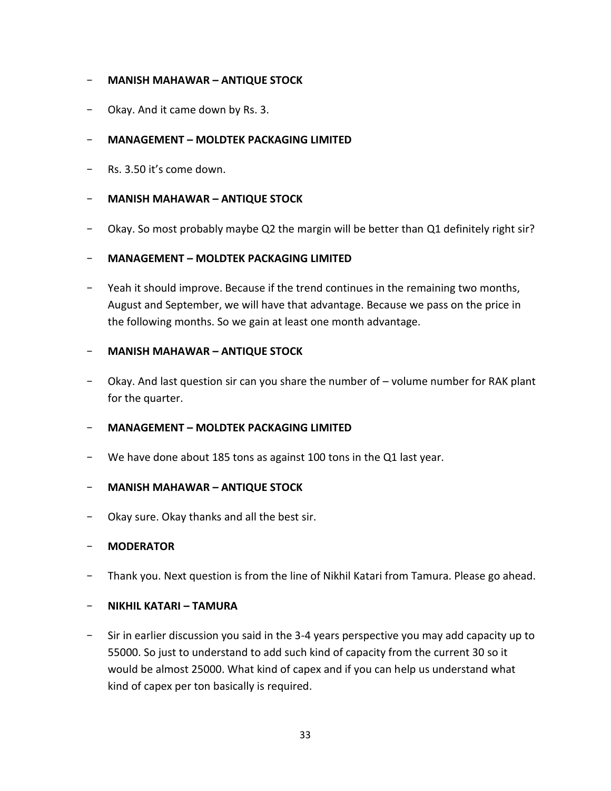## - **MANISH MAHAWAR – ANTIQUE STOCK**

Okay. And it came down by Rs. 3.

## - **MANAGEMENT – MOLDTEK PACKAGING LIMITED**

- Rs. 3.50 it's come down.

### - **MANISH MAHAWAR – ANTIQUE STOCK**

- Okay. So most probably maybe Q2 the margin will be better than Q1 definitely right sir?

### - **MANAGEMENT – MOLDTEK PACKAGING LIMITED**

- Yeah it should improve. Because if the trend continues in the remaining two months, August and September, we will have that advantage. Because we pass on the price in the following months. So we gain at least one month advantage.

#### - **MANISH MAHAWAR – ANTIQUE STOCK**

- Okay. And last question sir can you share the number of – volume number for RAK plant for the quarter.

### - **MANAGEMENT – MOLDTEK PACKAGING LIMITED**

We have done about 185 tons as against 100 tons in the Q1 last year.

#### - **MANISH MAHAWAR – ANTIQUE STOCK**

Okay sure. Okay thanks and all the best sir.

#### - **MODERATOR**

Thank you. Next question is from the line of Nikhil Katari from Tamura. Please go ahead.

#### - **NIKHIL KATARI – TAMURA**

- Sir in earlier discussion you said in the 3-4 years perspective you may add capacity up to 55000. So just to understand to add such kind of capacity from the current 30 so it would be almost 25000. What kind of capex and if you can help us understand what kind of capex per ton basically is required.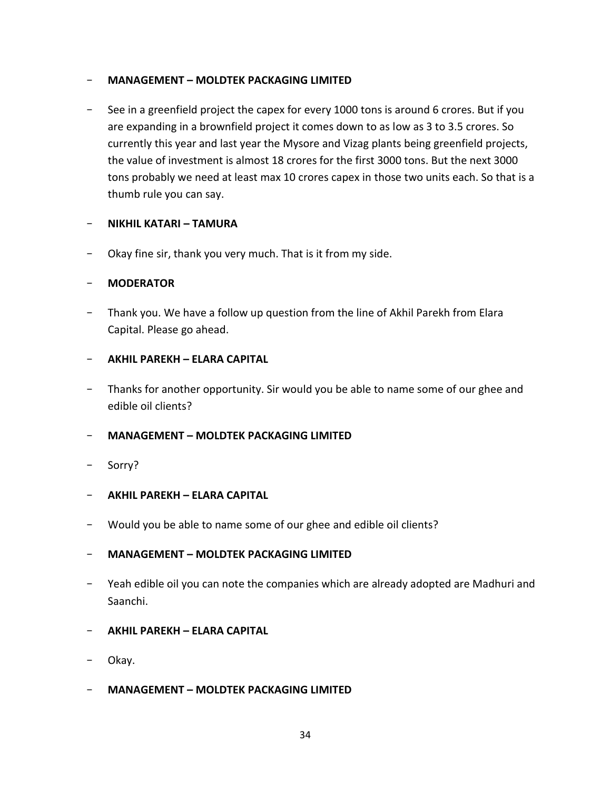## - **MANAGEMENT – MOLDTEK PACKAGING LIMITED**

- See in a greenfield project the capex for every 1000 tons is around 6 crores. But if you are expanding in a brownfield project it comes down to as low as 3 to 3.5 crores. So currently this year and last year the Mysore and Vizag plants being greenfield projects, the value of investment is almost 18 crores for the first 3000 tons. But the next 3000 tons probably we need at least max 10 crores capex in those two units each. So that is a thumb rule you can say.

## - **NIKHIL KATARI – TAMURA**

- Okay fine sir, thank you very much. That is it from my side.

## - **MODERATOR**

- Thank you. We have a follow up question from the line of Akhil Parekh from Elara Capital. Please go ahead.

## - **AKHIL PAREKH – ELARA CAPITAL**

- Thanks for another opportunity. Sir would you be able to name some of our ghee and edible oil clients?

### - **MANAGEMENT – MOLDTEK PACKAGING LIMITED**

- Sorry?
- **AKHIL PAREKH – ELARA CAPITAL**
- Would you be able to name some of our ghee and edible oil clients?

### - **MANAGEMENT – MOLDTEK PACKAGING LIMITED**

- Yeah edible oil you can note the companies which are already adopted are Madhuri and Saanchi.
- **AKHIL PAREKH – ELARA CAPITAL**
- Okay.
- **MANAGEMENT – MOLDTEK PACKAGING LIMITED**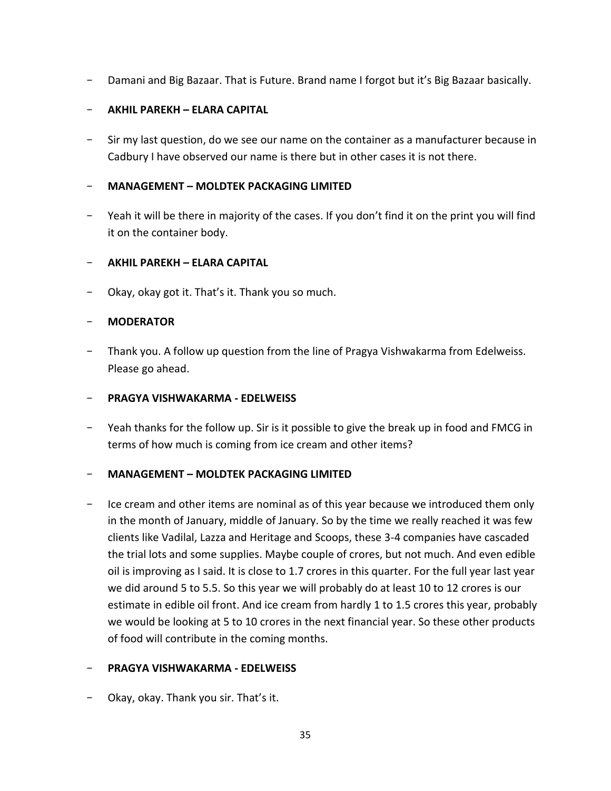- Damani and Big Bazaar. That is Future. Brand name I forgot but it's Big Bazaar basically.

# - **AKHIL PAREKH – ELARA CAPITAL**

Sir my last question, do we see our name on the container as a manufacturer because in Cadbury I have observed our name is there but in other cases it is not there.

# - **MANAGEMENT – MOLDTEK PACKAGING LIMITED**

Yeah it will be there in majority of the cases. If you don't find it on the print you will find it on the container body.

# - **AKHIL PAREKH – ELARA CAPITAL**

Okay, okay got it. That's it. Thank you so much.

## - **MODERATOR**

Thank you. A follow up question from the line of Pragya Vishwakarma from Edelweiss. Please go ahead.

### - **PRAGYA VISHWAKARMA - EDELWEISS**

- Yeah thanks for the follow up. Sir is it possible to give the break up in food and FMCG in terms of how much is coming from ice cream and other items?

### - **MANAGEMENT – MOLDTEK PACKAGING LIMITED**

Ice cream and other items are nominal as of this year because we introduced them only in the month of January, middle of January. So by the time we really reached it was few clients like Vadilal, Lazza and Heritage and Scoops, these 3-4 companies have cascaded the trial lots and some supplies. Maybe couple of crores, but not much. And even edible oil is improving as I said. It is close to 1.7 crores in this quarter. For the full year last year we did around 5 to 5.5. So this year we will probably do at least 10 to 12 crores is our estimate in edible oil front. And ice cream from hardly 1 to 1.5 crores this year, probably we would be looking at 5 to 10 crores in the next financial year. So these other products of food will contribute in the coming months.

### - **PRAGYA VISHWAKARMA - EDELWEISS**

- Okay, okay. Thank you sir. That's it.